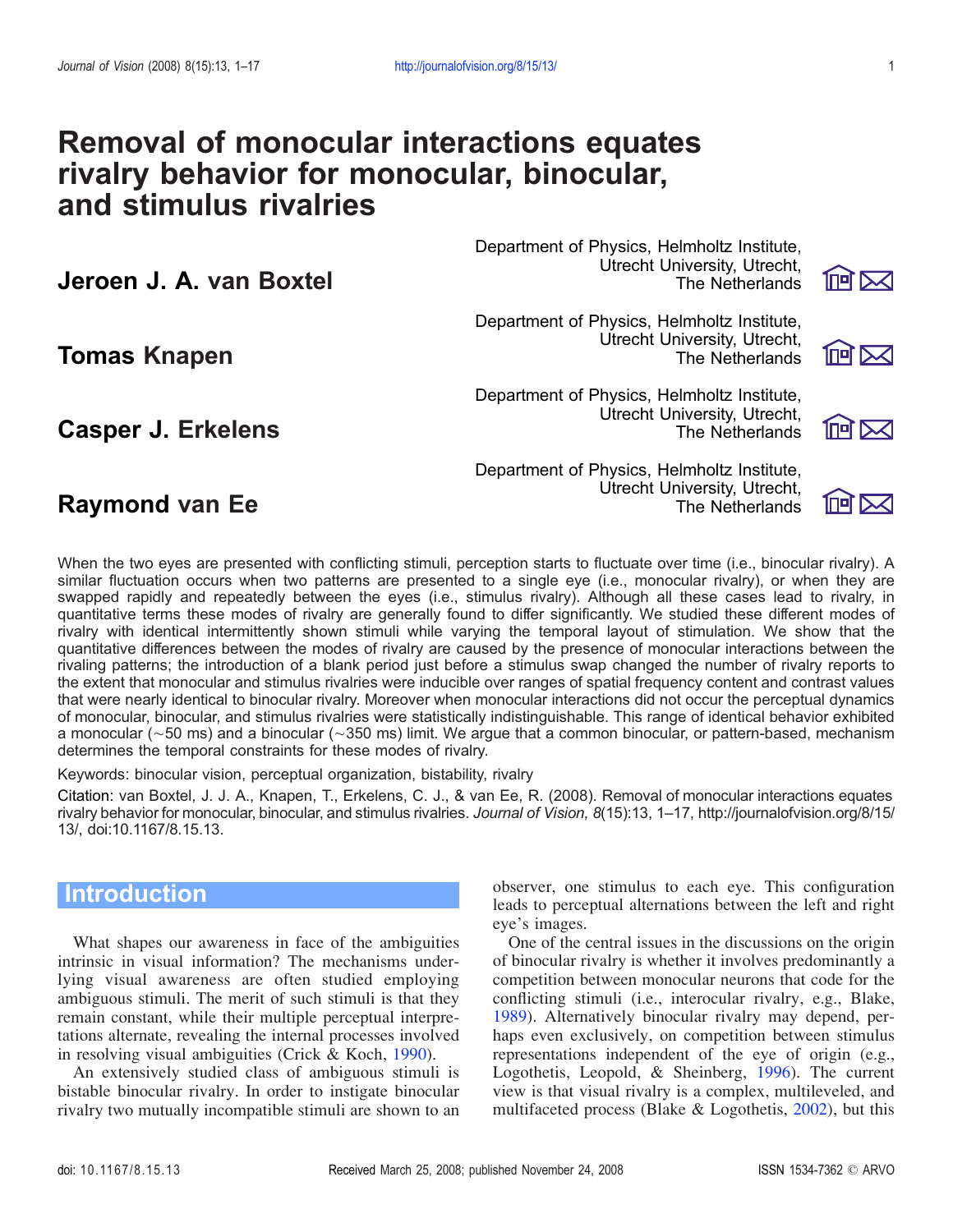# Removal of monocular interactions equates rivalry behavior for monocular, binocular, and stimulus rivalries

Jeroen J. A. van Boxtel

Department of Physics, Helmholtz Institute, Utrecht University, Utrecht,

Department of Physics, Helmholtz Institute, Utrecht University, Utrecht, Tomas Knapen The Netherlands

Department of Physics, Helmholtz Institute, Utrecht University, Utrecht, Casper J. Erkelens The Netherlands

Department of Physics, Helmholtz Institute, Utrecht University, Utrecht, Raymond van Ee The Netherlands



 $\overline{\ln}$ ar $\overline{\sim}$ 

 $\ln\log$ 

 $\ln$ p $\sim$ 

When the two eyes are presented with conflicting stimuli, perception starts to fluctuate over time (i.e., binocular rivalry). A similar fluctuation occurs when two patterns are presented to a single eye (i.e., monocular rivalry), or when they are swapped rapidly and repeatedly between the eyes (i.e., stimulus rivalry). Although all these cases lead to rivalry, in quantitative terms these modes of rivalry are generally found to differ significantly. We studied these different modes of rivalry with identical intermittently shown stimuli while varying the temporal layout of stimulation. We show that the quantitative differences between the modes of rivalry are caused by the presence of monocular interactions between the rivaling patterns; the introduction of a blank period just before a stimulus swap changed the number of rivalry reports to the extent that monocular and stimulus rivalries were inducible over ranges of spatial frequency content and contrast values that were nearly identical to binocular rivalry. Moreover when monocular interactions did not occur the perceptual dynamics of monocular, binocular, and stimulus rivalries were statistically indistinguishable. This range of identical behavior exhibited a monocular ( $\sim$ 50 ms) and a binocular ( $\sim$ 350 ms) limit. We argue that a common binocular, or pattern-based, mechanism determines the temporal constraints for these modes of rivalry.

Keywords: binocular vision, perceptual organization, bistability, rivalry

Citation: van Boxtel, J. J. A., Knapen, T., Erkelens, C. J., & van Ee, R. (2008). Removal of monocular interactions equates rivalry behavior for monocular, binocular, and stimulus rivalries. Journal of Vision, 8(15):13, 1–17, http://journalofvision.org/8/15/ 13/, doi:10.1167/8.15.13.

## **Introduction**

What shapes our awareness in face of the ambiguities intrinsic in visual information? The mechanisms underlying visual awareness are often studied employing ambiguous stimuli. The merit of such stimuli is that they remain constant, while their multiple perceptual interpretations alternate, revealing the internal processes involved in resolving visual ambiguities (Crick & Koch, [1990](#page-14-0)).

<span id="page-0-0"></span>An extensively studied class of ambiguous stimuli is bistable binocular rivalry. In order to instigate binocular rivalry two mutually incompatible stimuli are shown to an observer, one stimulus to each eye. This configuration leads to perceptual alternations between the left and right eye's images.

One of the central issues in the discussions on the origin of binocular rivalry is whether it involves predominantly a competition between monocular neurons that code for the conflicting stimuli (i.e., interocular rivalry, e.g., Blake, [1989\)](#page-13-0). Alternatively binocular rivalry may depend, perhaps even exclusively, on competition between stimulus representations independent of the eye of origin (e.g., Logothetis, Leopold, & Sheinberg, [1996](#page-15-0)). The current view is that visual rivalry is a complex, multileveled, and multifaceted process (Blake & Logothetis, [2002\)](#page-13-0), but this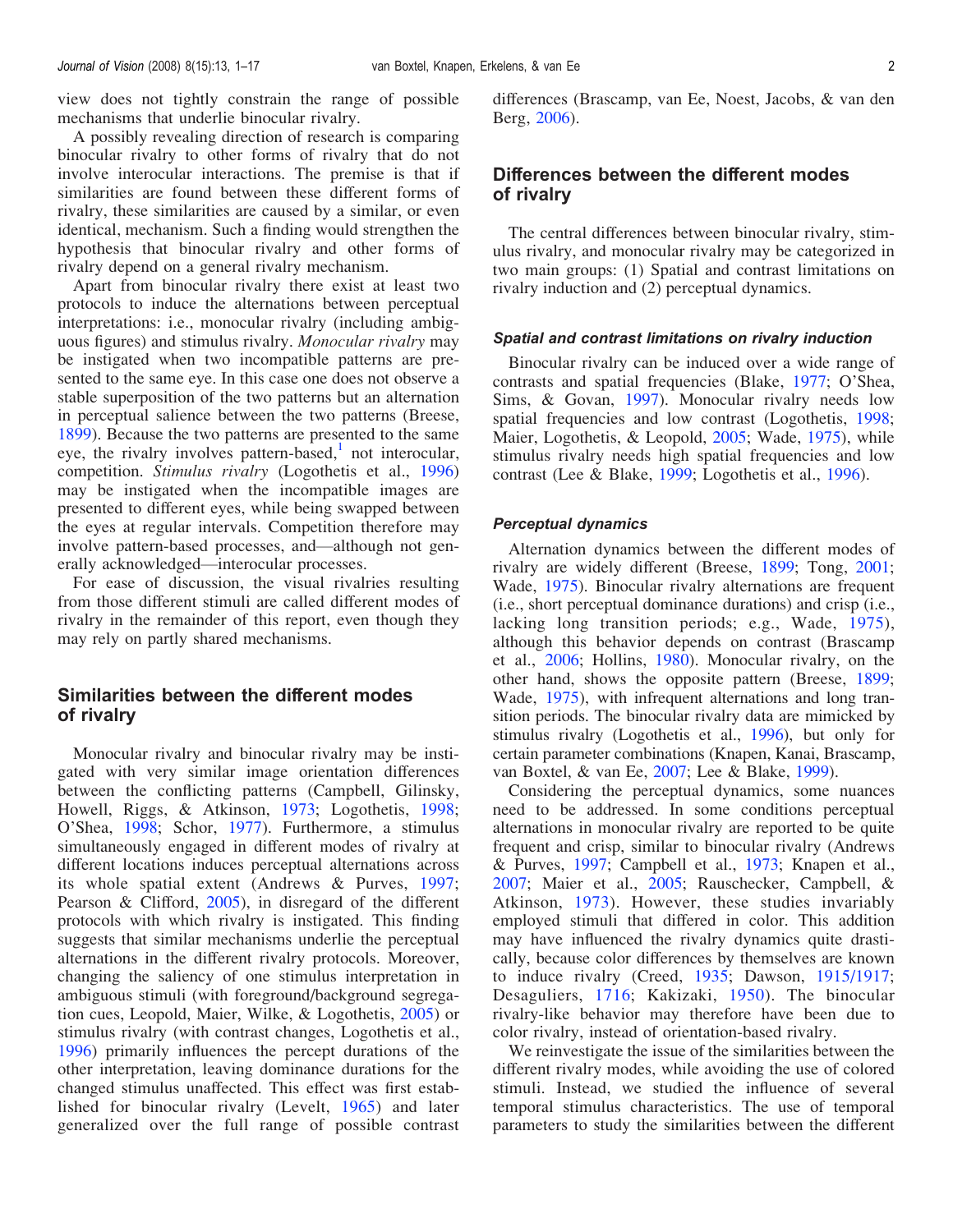view does not tightly constrain the range of possible mechanisms that underlie binocular rivalry.

A possibly revealing direction of research is comparing binocular rivalry to other forms of rivalry that do not involve interocular interactions. The premise is that if similarities are found between these different forms of rivalry, these similarities are caused by a similar, or even identical, mechanism. Such a finding would strengthen the hypothesis that binocular rivalry and other forms of rivalry depend on a general rivalry mechanism.

Apart from binocular rivalry there exist at least two protocols to induce the alternations between perceptual interpretations: i.e., monocular rivalry (including ambiguous figures) and stimulus rivalry. Monocular rivalry may be instigated when two incompatible patterns are presented to the same eye. In this case one does not observe a stable superposition of the two patterns but an alternation in perceptual salience between the two patterns (Breese, [1899\)](#page-14-0). Because the two patterns are presented to the same eye, the rivalry involves pattern-based, $\frac{1}{1}$  $\frac{1}{1}$  $\frac{1}{1}$  not interocular, competition. Stimulus rivalry (Logothetis et al., [1996\)](#page-15-0) may be instigated when the incompatible images are presented to different eyes, while being swapped between the eyes at regular intervals. Competition therefore may involve pattern-based processes, and—although not generally acknowledged—interocular processes.

For ease of discussion, the visual rivalries resulting from those different stimuli are called different modes of rivalry in the remainder of this report, even though they may rely on partly shared mechanisms.

## Similarities between the different modes of rivalry

Monocular rivalry and binocular rivalry may be instigated with very similar image orientation differences between the conflicting patterns (Campbell, Gilinsky, Howell, Riggs, & Atkinson, [1973;](#page-14-0) Logothetis, [1998](#page-15-0); O'Shea, [1998](#page-15-0); Schor, [1977](#page-15-0)). Furthermore, a stimulus simultaneously engaged in different modes of rivalry at different locations induces perceptual alternations across its whole spatial extent (Andrews & Purves, [1997](#page-13-0); Pearson & Clifford, [2005\)](#page-15-0), in disregard of the different protocols with which rivalry is instigated. This finding suggests that similar mechanisms underlie the perceptual alternations in the different rivalry protocols. Moreover, changing the saliency of one stimulus interpretation in ambiguous stimuli (with foreground/background segregation cues, Leopold, Maier, Wilke, & Logothetis, [2005\)](#page-15-0) or stimulus rivalry (with contrast changes, Logothetis et al., [1996\)](#page-15-0) primarily influences the percept durations of the other interpretation, leaving dominance durations for the changed stimulus unaffected. This effect was first established for binocular rivalry (Levelt, [1965](#page-15-0)) and later generalized over the full range of possible contrast

differences (Brascamp, van Ee, Noest, Jacobs, & van den Berg, [2006](#page-14-0)).

## Differences between the different modes of rivalry

The central differences between binocular rivalry, stimulus rivalry, and monocular rivalry may be categorized in two main groups: (1) Spatial and contrast limitations on rivalry induction and (2) perceptual dynamics.

#### Spatial and contrast limitations on rivalry induction

Binocular rivalry can be induced over a wide range of contrasts and spatial frequencies (Blake, [1977](#page-13-0); O'Shea, Sims, & Govan, [1997](#page-15-0)). Monocular rivalry needs low spatial frequencies and low contrast (Logothetis, [1998;](#page-15-0) Maier, Logothetis, & Leopold, [2005;](#page-15-0) Wade, [1975\)](#page-16-0), while stimulus rivalry needs high spatial frequencies and low contrast (Lee & Blake, [1999;](#page-14-0) Logothetis et al., [1996\)](#page-15-0).

#### Perceptual dynamics

Alternation dynamics between the different modes of rivalry are widely different (Breese, [1899;](#page-14-0) Tong, [2001;](#page-15-0) Wade, [1975\)](#page-16-0). Binocular rivalry alternations are frequent (i.e., short perceptual dominance durations) and crisp (i.e., lacking long transition periods; e.g., Wade, [1975](#page-16-0)), although this behavior depends on contrast (Brascamp et al., [2006](#page-14-0); Hollins, [1980\)](#page-14-0). Monocular rivalry, on the other hand, shows the opposite pattern (Breese, [1899;](#page-14-0) Wade, [1975](#page-16-0)), with infrequent alternations and long transition periods. The binocular rivalry data are mimicked by stimulus rivalry (Logothetis et al., [1996](#page-15-0)), but only for certain parameter combinations (Knapen, Kanai, Brascamp, van Boxtel, & van Ee, [2007](#page-14-0); Lee & Blake, [1999\)](#page-14-0).

Considering the perceptual dynamics, some nuances need to be addressed. In some conditions perceptual alternations in monocular rivalry are reported to be quite frequent and crisp, similar to binocular rivalry (Andrews & Purves, [1997](#page-13-0); Campbell et al., [1973;](#page-14-0) Knapen et al., [2007;](#page-14-0) Maier et al., [2005;](#page-15-0) Rauschecker, Campbell, & Atkinson, [1973\)](#page-15-0). However, these studies invariably employed stimuli that differed in color. This addition may have influenced the rivalry dynamics quite drastically, because color differences by themselves are known to induce rivalry (Creed, [1935](#page-14-0); Dawson, [1915/1917;](#page-14-0) Desaguliers, [1716](#page-14-0); Kakizaki, [1950\)](#page-14-0). The binocular rivalry-like behavior may therefore have been due to color rivalry, instead of orientation-based rivalry.

We reinvestigate the issue of the similarities between the different rivalry modes, while avoiding the use of colored stimuli. Instead, we studied the influence of several temporal stimulus characteristics. The use of temporal parameters to study the similarities between the different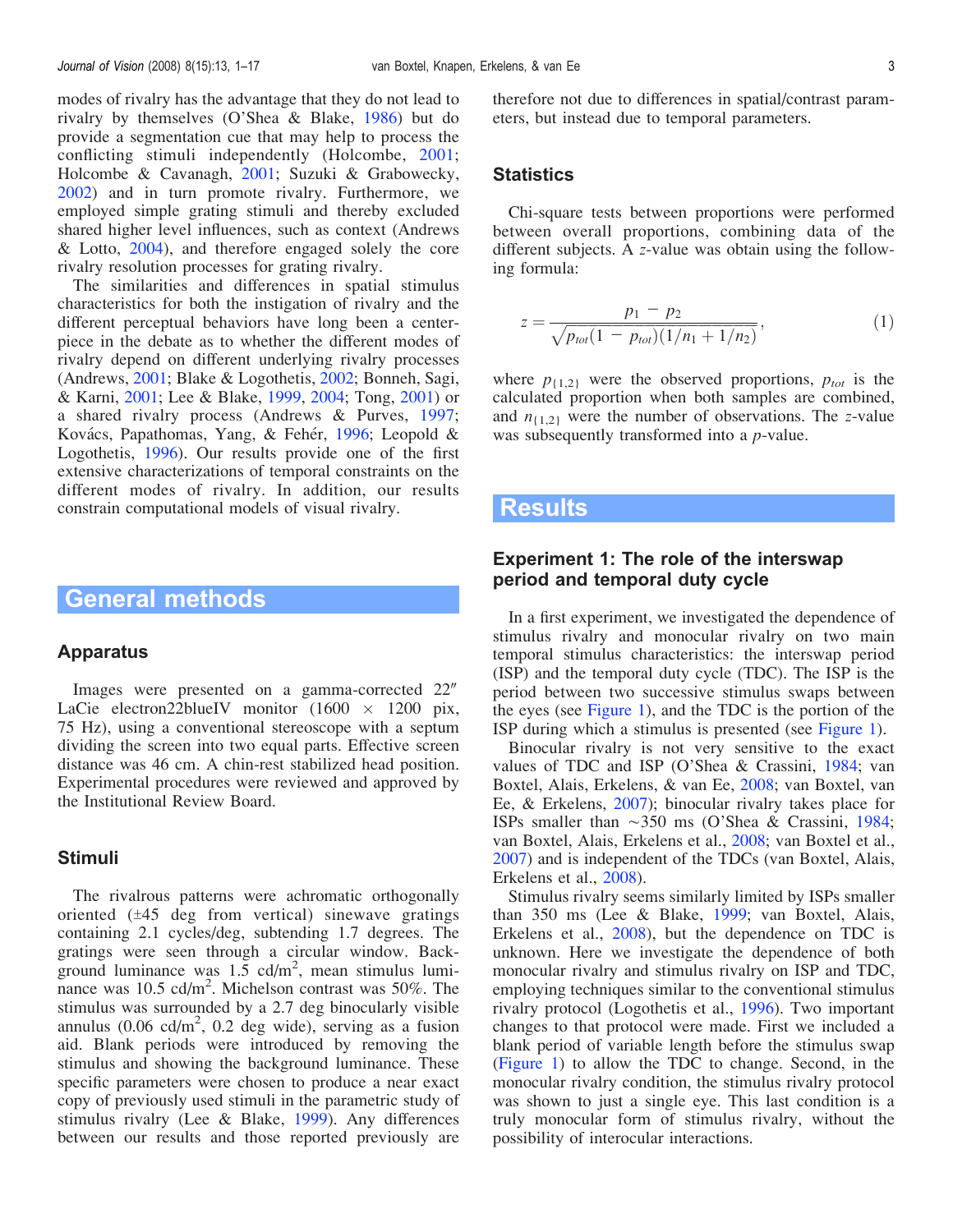modes of rivalry has the advantage that they do not lead to rivalry by themselves (O'Shea & Blake, [1986](#page-15-0)) but do provide a segmentation cue that may help to process the conflicting stimuli independently (Holcombe, [2001](#page-14-0); Holcombe & Cavanagh, [2001](#page-14-0); Suzuki & Grabowecky, [2002](#page-15-0)) and in turn promote rivalry. Furthermore, we employed simple grating stimuli and thereby excluded shared higher level influences, such as context (Andrews & Lotto, [2004](#page-13-0)), and therefore engaged solely the core rivalry resolution processes for grating rivalry.

The similarities and differences in spatial stimulus characteristics for both the instigation of rivalry and the different perceptual behaviors have long been a centerpiece in the debate as to whether the different modes of rivalry depend on different underlying rivalry processes (Andrews, [2001](#page-13-0); Blake & Logothetis, [2002;](#page-13-0) Bonneh, Sagi, & Karni, [2001;](#page-14-0) Lee & Blake, [1999,](#page-14-0) [2004;](#page-15-0) Tong, [2001](#page-15-0)) or a shared rivalry process (Andrews & Purves, [1997](#page-13-0); Kovács, Papathomas, Yang, & Fehér, [1996](#page-14-0); Leopold & Logothetis, [1996](#page-15-0)). Our results provide one of the first extensive characterizations of temporal constraints on the different modes of rivalry. In addition, our results constrain computational models of visual rivalry.

## General methods

### Apparatus

Images were presented on a gamma-corrected 22" LaCie electron22blueIV monitor  $(1600 \times 1200)$  pix, 75 Hz), using a conventional stereoscope with a septum dividing the screen into two equal parts. Effective screen distance was 46 cm. A chin-rest stabilized head position. Experimental procedures were reviewed and approved by the Institutional Review Board.

## Stimuli

<span id="page-2-0"></span>The rivalrous patterns were achromatic orthogonally oriented  $(\pm 45$  deg from vertical) sinewave gratings containing 2.1 cycles/deg, subtending 1.7 degrees. The gratings were seen through a circular window. Background luminance was  $1.5 \text{ cd/m}^2$ , mean stimulus luminance was  $10.5 \text{ cd/m}^2$ . Michelson contrast was 50%. The stimulus was surrounded by a 2.7 deg binocularly visible annulus  $(0.06 \text{ cd/m}^2, 0.2 \text{ deg wide})$ , serving as a fusion aid. Blank periods were introduced by removing the stimulus and showing the background luminance. These specific parameters were chosen to produce a near exact copy of previously used stimuli in the parametric study of stimulus rivalry (Lee & Blake, [1999\)](#page-14-0). Any differences between our results and those reported previously are therefore not due to differences in spatial/contrast parameters, but instead due to temporal parameters.

## **Statistics**

Chi-square tests between proportions were performed between overall proportions, combining data of the different subjects. A z-value was obtain using the following formula:

$$
z = \frac{p_1 - p_2}{\sqrt{p_{tot}(1 - p_{tot})(1/n_1 + 1/n_2)}},\tag{1}
$$

where  $p_{1,2}$  were the observed proportions,  $p_{tot}$  is the calculated proportion when both samples are combined, and  $n_{1,2}$  were the number of observations. The z-value was subsequently transformed into a *p*-value.

## **Results**

## Experiment 1: The role of the interswap period and temporal duty cycle

In a first experiment, we investigated the dependence of stimulus rivalry and monocular rivalry on two main temporal stimulus characteristics: the interswap period (ISP) and the temporal duty cycle (TDC). The ISP is the period between two successive stimulus swaps between the eyes (see [Figure 1](#page-3-0)), and the TDC is the portion of the ISP during which a stimulus is presented (see [Figure 1\)](#page-3-0).

Binocular rivalry is not very sensitive to the exact values of TDC and ISP (O'Shea & Crassini, [1984](#page-15-0); van Boxtel, Alais, Erkelens, & van Ee, [2008;](#page-15-0) van Boxtel, van Ee, & Erkelens, [2007](#page-16-0)); binocular rivalry takes place for ISPs smaller than  $\sim$ 350 ms (O'Shea & Crassini, [1984;](#page-15-0) van Boxtel, Alais, Erkelens et al., [2008](#page-15-0); van Boxtel et al., [2007\)](#page-16-0) and is independent of the TDCs (van Boxtel, Alais, Erkelens et al., [2008](#page-15-0)).

Stimulus rivalry seems similarly limited by ISPs smaller than 350 ms (Lee & Blake, [1999](#page-14-0); van Boxtel, Alais, Erkelens et al., [2008](#page-15-0)), but the dependence on TDC is unknown. Here we investigate the dependence of both monocular rivalry and stimulus rivalry on ISP and TDC, employing techniques similar to the conventional stimulus rivalry protocol (Logothetis et al., [1996](#page-15-0)). Two important changes to that protocol were made. First we included a blank period of variable length before the stimulus swap [\(Figure 1](#page-3-0)) to allow the TDC to change. Second, in the monocular rivalry condition, the stimulus rivalry protocol was shown to just a single eye. This last condition is a truly monocular form of stimulus rivalry, without the possibility of interocular interactions.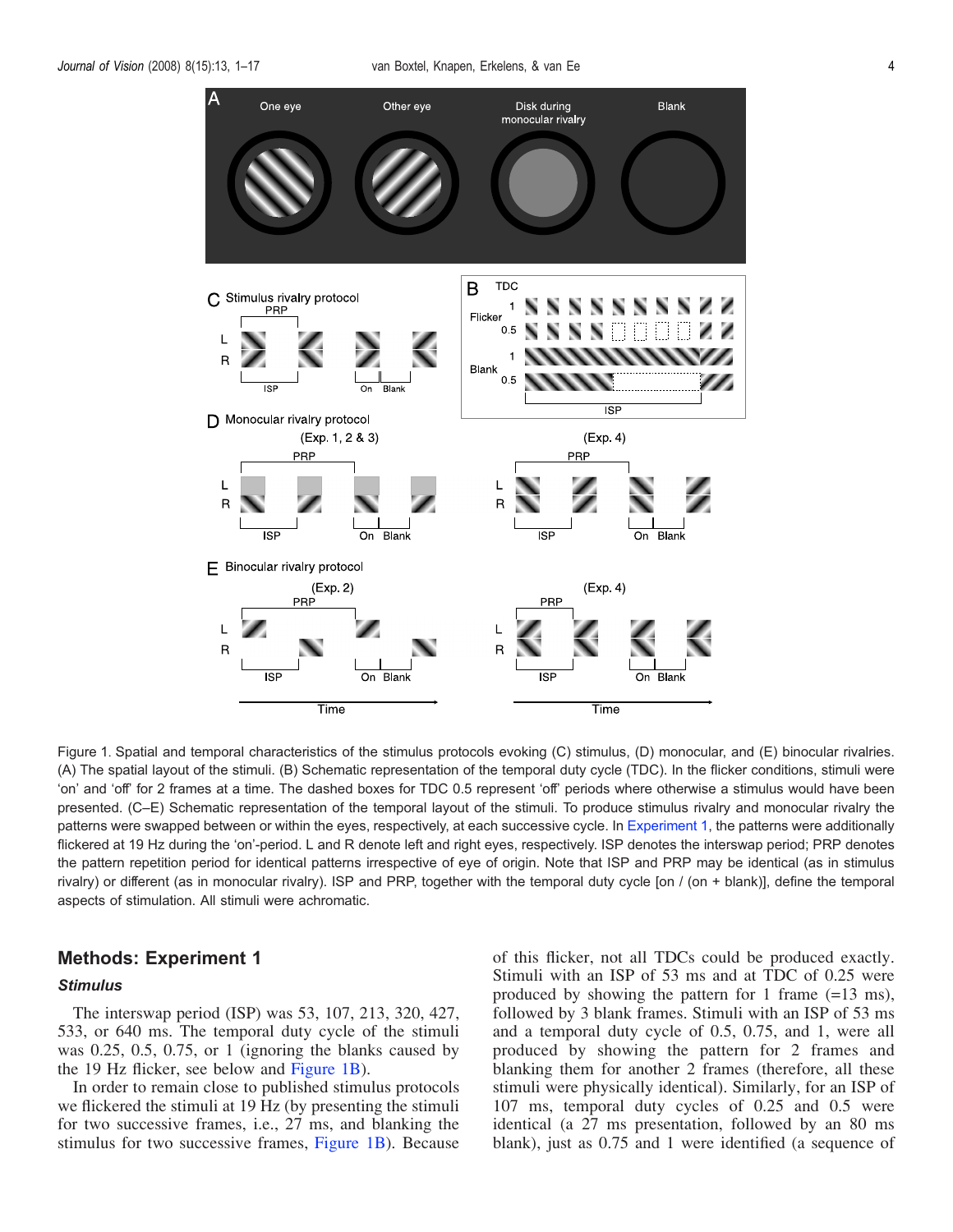

Figure 1. Spatial and temporal characteristics of the stimulus protocols evoking (C) stimulus, (D) monocular, and (E) binocular rivalries. (A) The spatial layout of the stimuli. (B) Schematic representation of the temporal duty cycle (TDC). In the flicker conditions, stimuli were 'on' and 'off' for 2 frames at a time. The dashed boxes for TDC 0.5 represent 'off' periods where otherwise a stimulus would have been presented. (C–E) Schematic representation of the temporal layout of the stimuli. To produce stimulus rivalry and monocular rivalry the patterns were swapped between or within the eyes, respectively, at each successive cycle. In [Experiment 1](#page-2-0), the patterns were additionally flickered at 19 Hz during the 'on'-period. L and R denote left and right eyes, respectively. ISP denotes the interswap period; PRP denotes the pattern repetition period for identical patterns irrespective of eye of origin. Note that ISP and PRP may be identical (as in stimulus rivalry) or different (as in monocular rivalry). ISP and PRP, together with the temporal duty cycle [on / (on + blank)], define the temporal aspects of stimulation. All stimuli were achromatic.

## Methods: Experiment 1

#### **Stimulus**

The interswap period (ISP) was 53, 107, 213, 320, 427, 533, or 640 ms. The temporal duty cycle of the stimuli was 0.25, 0.5, 0.75, or 1 (ignoring the blanks caused by the 19 Hz flicker, see below and [Figure 1B\)](#page-3-0).

<span id="page-3-0"></span>In order to remain close to published stimulus protocols we flickered the stimuli at 19 Hz (by presenting the stimuli for two successive frames, i.e., 27 ms, and blanking the stimulus for two successive frames, [Figure 1B\)](#page-3-0). Because of this flicker, not all TDCs could be produced exactly. Stimuli with an ISP of 53 ms and at TDC of 0.25 were produced by showing the pattern for 1 frame (=13 ms), followed by 3 blank frames. Stimuli with an ISP of 53 ms and a temporal duty cycle of 0.5, 0.75, and 1, were all produced by showing the pattern for 2 frames and blanking them for another 2 frames (therefore, all these stimuli were physically identical). Similarly, for an ISP of 107 ms, temporal duty cycles of 0.25 and 0.5 were identical (a 27 ms presentation, followed by an 80 ms blank), just as 0.75 and 1 were identified (a sequence of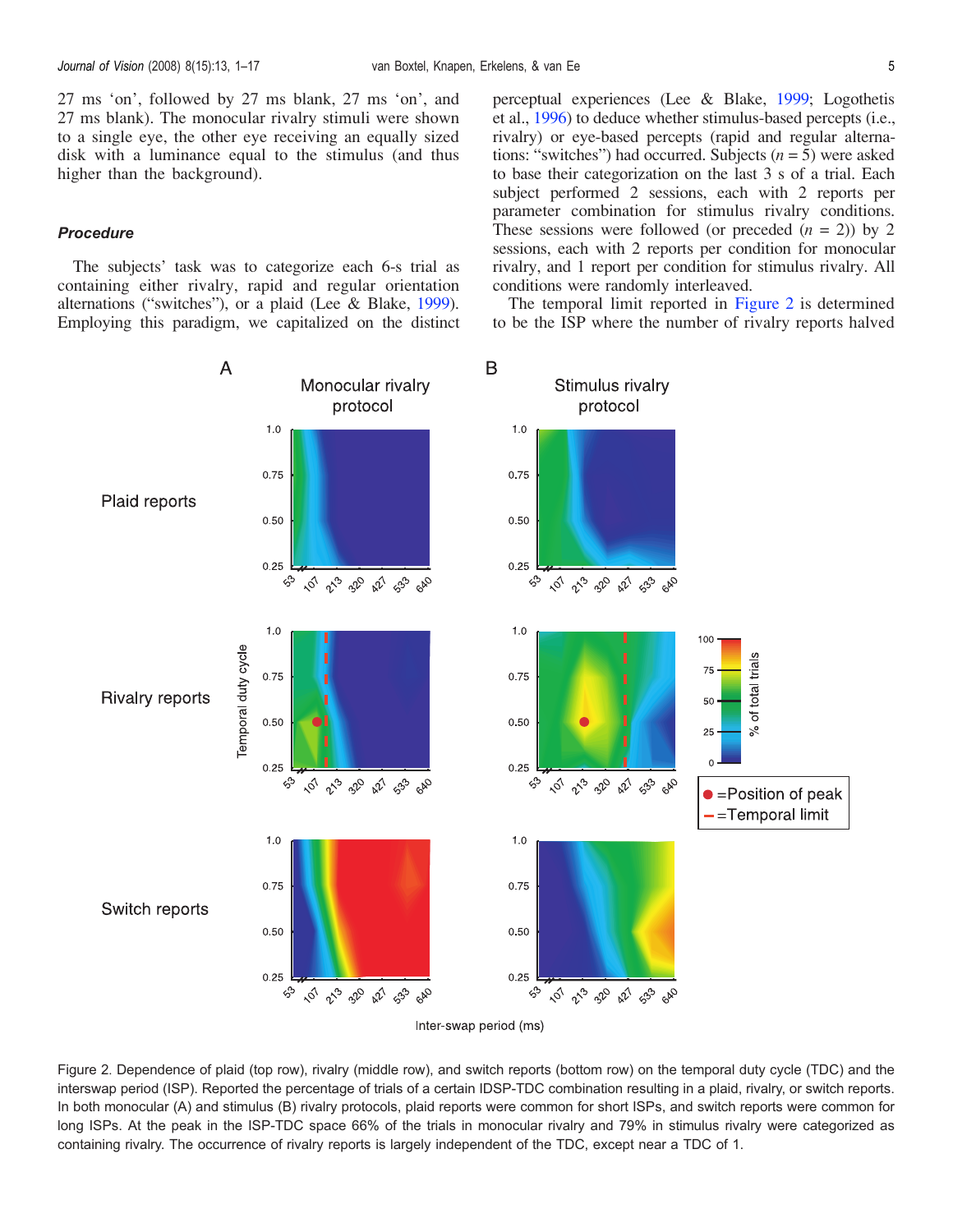27 ms 'on', followed by 27 ms blank, 27 ms 'on', and 27 ms blank). The monocular rivalry stimuli were shown to a single eye, the other eye receiving an equally sized disk with a luminance equal to the stimulus (and thus higher than the background).

#### Procedure

The subjects' task was to categorize each 6-s trial as containing either rivalry, rapid and regular orientation alternations ("switches"), or a plaid (Lee & Blake, [1999\)](#page-14-0). Employing this paradigm, we capitalized on the distinct perceptual experiences (Lee & Blake, [1999](#page-14-0); Logothetis et al., [1996](#page-15-0)) to deduce whether stimulus-based percepts (i.e., rivalry) or eye-based percepts (rapid and regular alternations: "switches") had occurred. Subjects  $(n = 5)$  were asked to base their categorization on the last 3 s of a trial. Each subject performed 2 sessions, each with 2 reports per parameter combination for stimulus rivalry conditions. These sessions were followed (or preceded  $(n = 2)$ ) by 2 sessions, each with 2 reports per condition for monocular rivalry, and 1 report per condition for stimulus rivalry. All conditions were randomly interleaved.

The temporal limit reported in [Figure 2](#page-4-0) is determined to be the ISP where the number of rivalry reports halved



Inter-swap period (ms)

<span id="page-4-0"></span>Figure 2. Dependence of plaid (top row), rivalry (middle row), and switch reports (bottom row) on the temporal duty cycle (TDC) and the interswap period (ISP). Reported the percentage of trials of a certain IDSP-TDC combination resulting in a plaid, rivalry, or switch reports. In both monocular (A) and stimulus (B) rivalry protocols, plaid reports were common for short ISPs, and switch reports were common for long ISPs. At the peak in the ISP-TDC space 66% of the trials in monocular rivalry and 79% in stimulus rivalry were categorized as containing rivalry. The occurrence of rivalry reports is largely independent of the TDC, except near a TDC of 1.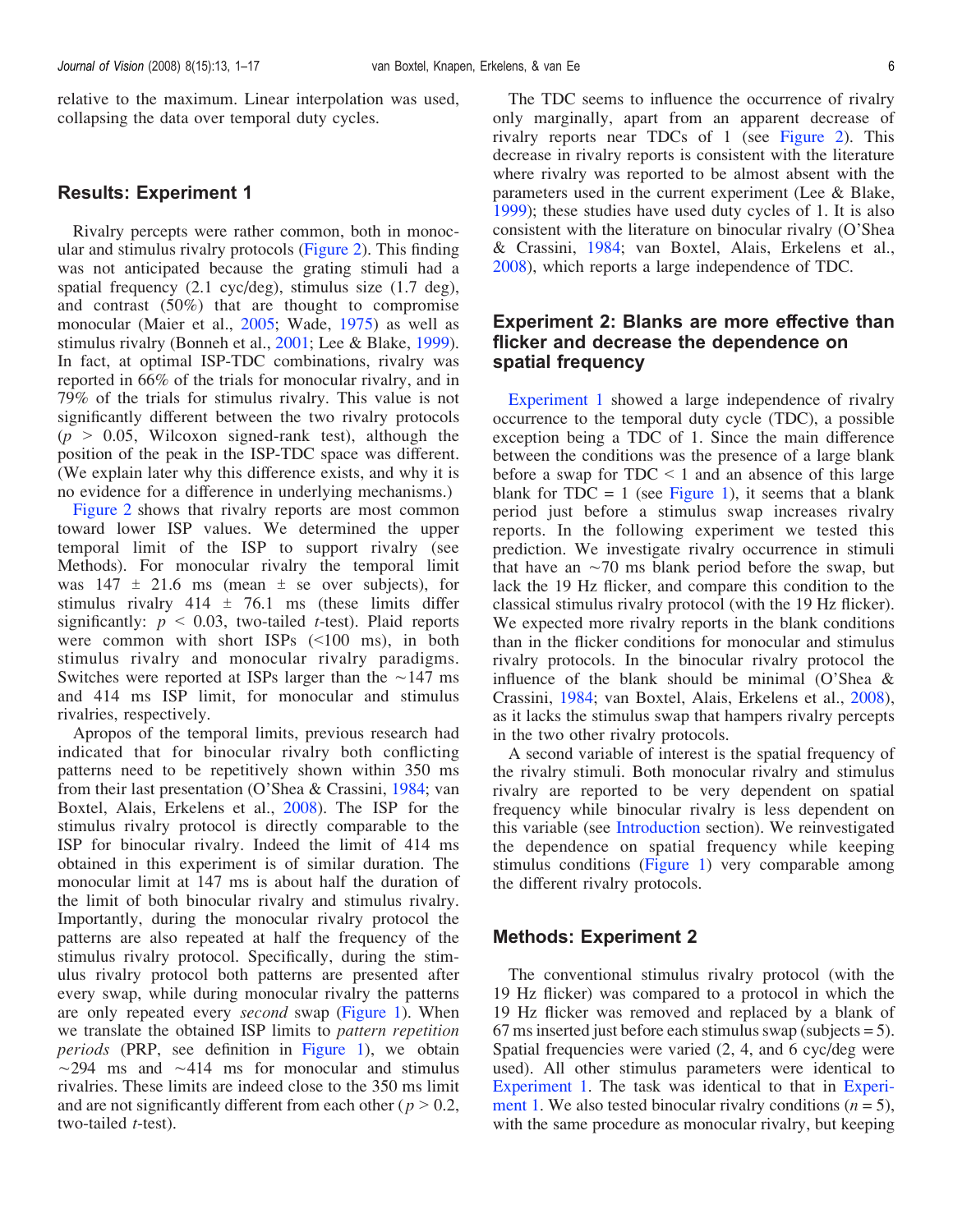relative to the maximum. Linear interpolation was used, collapsing the data over temporal duty cycles.

#### Results: Experiment 1

Rivalry percepts were rather common, both in monocular and stimulus rivalry protocols [\(Figure 2\)](#page-4-0). This finding was not anticipated because the grating stimuli had a spatial frequency (2.1 cyc/deg), stimulus size (1.7 deg), and contrast (50%) that are thought to compromise monocular (Maier et al., [2005;](#page-15-0) Wade, [1975\)](#page-16-0) as well as stimulus rivalry (Bonneh et al., [2001;](#page-14-0) Lee & Blake, [1999\)](#page-14-0). In fact, at optimal ISP-TDC combinations, rivalry was reported in 66% of the trials for monocular rivalry, and in 79% of the trials for stimulus rivalry. This value is not significantly different between the two rivalry protocols  $(p > 0.05,$  Wilcoxon signed-rank test), although the position of the peak in the ISP-TDC space was different. (We explain later why this difference exists, and why it is no evidence for a difference in underlying mechanisms.)

[Figure 2](#page-4-0) shows that rivalry reports are most common toward lower ISP values. We determined the upper temporal limit of the ISP to support rivalry (see Methods). For monocular rivalry the temporal limit was  $147 \pm 21.6$  ms (mean  $\pm$  se over subjects), for stimulus rivalry 414  $\pm$  76.1 ms (these limits differ significantly:  $p \le 0.03$ , two-tailed t-test). Plaid reports were common with short ISPs  $($ <100 ms), in both stimulus rivalry and monocular rivalry paradigms. Switches were reported at ISPs larger than the  $\sim$ 147 ms and 414 ms ISP limit, for monocular and stimulus rivalries, respectively.

<span id="page-5-0"></span>Apropos of the temporal limits, previous research had indicated that for binocular rivalry both conflicting patterns need to be repetitively shown within 350 ms from their last presentation (O'Shea & Crassini, [1984](#page-15-0); van Boxtel, Alais, Erkelens et al., [2008\)](#page-15-0). The ISP for the stimulus rivalry protocol is directly comparable to the ISP for binocular rivalry. Indeed the limit of 414 ms obtained in this experiment is of similar duration. The monocular limit at 147 ms is about half the duration of the limit of both binocular rivalry and stimulus rivalry. Importantly, during the monocular rivalry protocol the patterns are also repeated at half the frequency of the stimulus rivalry protocol. Specifically, during the stimulus rivalry protocol both patterns are presented after every swap, while during monocular rivalry the patterns are only repeated every second swap ([Figure 1](#page-3-0)). When we translate the obtained ISP limits to pattern repetition periods (PRP, see definition in [Figure 1](#page-3-0)), we obtain  $\sim$ 294 ms and  $\sim$ 414 ms for monocular and stimulus rivalries. These limits are indeed close to the 350 ms limit and are not significantly different from each other ( $p > 0.2$ , two-tailed *t*-test).

The TDC seems to influence the occurrence of rivalry only marginally, apart from an apparent decrease of rivalry reports near TDCs of 1 (see [Figure 2](#page-4-0)). This decrease in rivalry reports is consistent with the literature where rivalry was reported to be almost absent with the parameters used in the current experiment (Lee & Blake, [1999\)](#page-14-0); these studies have used duty cycles of 1. It is also consistent with the literature on binocular rivalry (O'Shea & Crassini, [1984;](#page-15-0) van Boxtel, Alais, Erkelens et al., [2008\)](#page-15-0), which reports a large independence of TDC.

## Experiment 2: Blanks are more effective than flicker and decrease the dependence on spatial frequency

[Experiment 1](#page-2-0) showed a large independence of rivalry occurrence to the temporal duty cycle (TDC), a possible exception being a TDC of 1. Since the main difference between the conditions was the presence of a large blank before a swap for  $TDC \leq 1$  and an absence of this large blank for  $TDC = 1$  (see [Figure 1\)](#page-3-0), it seems that a blank period just before a stimulus swap increases rivalry reports. In the following experiment we tested this prediction. We investigate rivalry occurrence in stimuli that have an  $\sim$ 70 ms blank period before the swap, but lack the 19 Hz flicker, and compare this condition to the classical stimulus rivalry protocol (with the 19 Hz flicker). We expected more rivalry reports in the blank conditions than in the flicker conditions for monocular and stimulus rivalry protocols. In the binocular rivalry protocol the influence of the blank should be minimal (O'Shea & Crassini, [1984](#page-15-0); van Boxtel, Alais, Erkelens et al., [2008\)](#page-15-0), as it lacks the stimulus swap that hampers rivalry percepts in the two other rivalry protocols.

A second variable of interest is the spatial frequency of the rivalry stimuli. Both monocular rivalry and stimulus rivalry are reported to be very dependent on spatial frequency while binocular rivalry is less dependent on this variable (see [Introduction](#page-0-0) section). We reinvestigated the dependence on spatial frequency while keeping stimulus conditions [\(Figure 1\)](#page-3-0) very comparable among the different rivalry protocols.

#### Methods: Experiment 2

The conventional stimulus rivalry protocol (with the 19 Hz flicker) was compared to a protocol in which the 19 Hz flicker was removed and replaced by a blank of 67 ms inserted just before each stimulus swap (subjects  $= 5$ ). Spatial frequencies were varied (2, 4, and 6 cyc/deg were used). All other stimulus parameters were identical to [Experiment 1.](#page-2-0) The task was identical to that in [Experi](#page-2-0)[ment 1.](#page-2-0) We also tested binocular rivalry conditions  $(n = 5)$ , with the same procedure as monocular rivalry, but keeping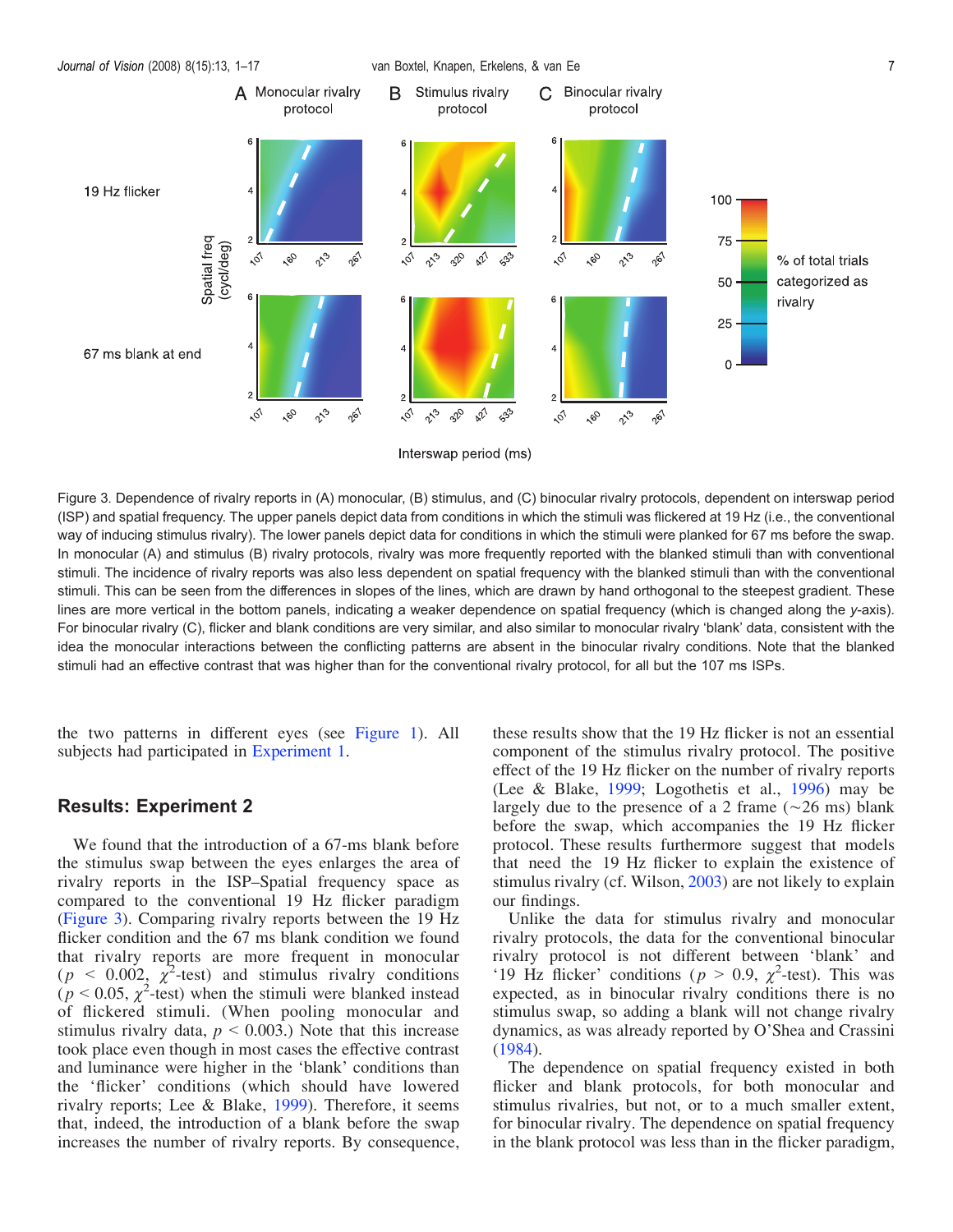

Interswap period (ms)

Figure 3. Dependence of rivalry reports in (A) monocular, (B) stimulus, and (C) binocular rivalry protocols, dependent on interswap period (ISP) and spatial frequency. The upper panels depict data from conditions in which the stimuli was flickered at 19 Hz (i.e., the conventional way of inducing stimulus rivalry). The lower panels depict data for conditions in which the stimuli were planked for 67 ms before the swap. In monocular (A) and stimulus (B) rivalry protocols, rivalry was more frequently reported with the blanked stimuli than with conventional stimuli. The incidence of rivalry reports was also less dependent on spatial frequency with the blanked stimuli than with the conventional stimuli. This can be seen from the differences in slopes of the lines, which are drawn by hand orthogonal to the steepest gradient. These lines are more vertical in the bottom panels, indicating a weaker dependence on spatial frequency (which is changed along the y-axis). For binocular rivalry (C), flicker and blank conditions are very similar, and also similar to monocular rivalry 'blank' data, consistent with the idea the monocular interactions between the conflicting patterns are absent in the binocular rivalry conditions. Note that the blanked stimuli had an effective contrast that was higher than for the conventional rivalry protocol, for all but the 107 ms ISPs.

the two patterns in different eyes (see [Figure 1\)](#page-3-0). All subjects had participated in [Experiment 1](#page-2-0).

## Results: Experiment 2

<span id="page-6-0"></span>We found that the introduction of a 67-ms blank before the stimulus swap between the eyes enlarges the area of rivalry reports in the ISP–Spatial frequency space as compared to the conventional 19 Hz flicker paradigm ([Figure 3\)](#page-6-0). Comparing rivalry reports between the 19 Hz flicker condition and the 67 ms blank condition we found that rivalry reports are more frequent in monocular  $(p < 0.002, \chi^2$ -test) and stimulus rivalry conditions  $(p < 0.05, \chi^2$ -test) when the stimuli were blanked instead of flickered stimuli. (When pooling monocular and stimulus rivalry data,  $p < 0.003$ .) Note that this increase took place even though in most cases the effective contrast and luminance were higher in the 'blank' conditions than the 'flicker' conditions (which should have lowered rivalry reports; Lee & Blake, [1999\)](#page-14-0). Therefore, it seems that, indeed, the introduction of a blank before the swap increases the number of rivalry reports. By consequence,

these results show that the 19 Hz flicker is not an essential component of the stimulus rivalry protocol. The positive effect of the 19 Hz flicker on the number of rivalry reports (Lee & Blake, [1999](#page-14-0); Logothetis et al., [1996\)](#page-15-0) may be largely due to the presence of a 2 frame ( $\sim$ 26 ms) blank before the swap, which accompanies the 19 Hz flicker protocol. These results furthermore suggest that models that need the 19 Hz flicker to explain the existence of stimulus rivalry (cf. Wilson, [2003](#page-16-0)) are not likely to explain our findings.

Unlike the data for stimulus rivalry and monocular rivalry protocols, the data for the conventional binocular rivalry protocol is not different between 'blank' and '19 Hz flicker' conditions ( $p > 0.9$ ,  $\chi^2$ -test). This was expected, as in binocular rivalry conditions there is no stimulus swap, so adding a blank will not change rivalry dynamics, as was already reported by O'Shea and Crassini [\(1984](#page-15-0)).

The dependence on spatial frequency existed in both flicker and blank protocols, for both monocular and stimulus rivalries, but not, or to a much smaller extent, for binocular rivalry. The dependence on spatial frequency in the blank protocol was less than in the flicker paradigm,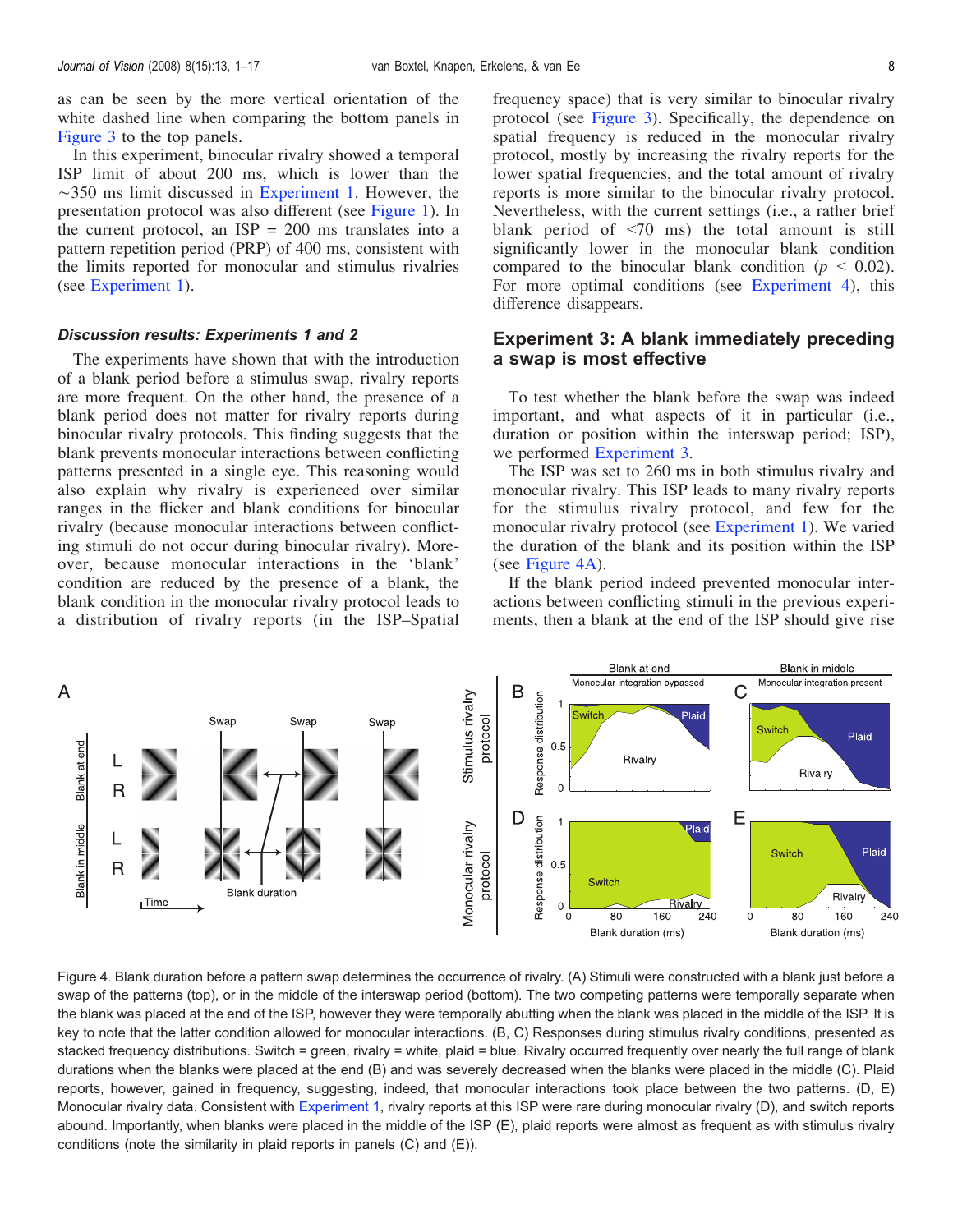as can be seen by the more vertical orientation of the white dashed line when comparing the bottom panels in [Figure 3](#page-6-0) to the top panels.

In this experiment, binocular rivalry showed a temporal ISP limit of about 200 ms, which is lower than the  $\sim$ 350 ms limit discussed in [Experiment 1.](#page-2-0) However, the presentation protocol was also different (see [Figure 1](#page-3-0)). In the current protocol, an  $ISP = 200$  ms translates into a pattern repetition period (PRP) of 400 ms, consistent with the limits reported for monocular and stimulus rivalries (see [Experiment 1\)](#page-2-0).

#### Discussion results: Experiments 1 and 2

The experiments have shown that with the introduction of a blank period before a stimulus swap, rivalry reports are more frequent. On the other hand, the presence of a blank period does not matter for rivalry reports during binocular rivalry protocols. This finding suggests that the blank prevents monocular interactions between conflicting patterns presented in a single eye. This reasoning would also explain why rivalry is experienced over similar ranges in the flicker and blank conditions for binocular rivalry (because monocular interactions between conflicting stimuli do not occur during binocular rivalry). Moreover, because monocular interactions in the 'blank' condition are reduced by the presence of a blank, the blank condition in the monocular rivalry protocol leads to a distribution of rivalry reports (in the ISP–Spatial

frequency space) that is very similar to binocular rivalry protocol (see [Figure 3](#page-6-0)). Specifically, the dependence on spatial frequency is reduced in the monocular rivalry protocol, mostly by increasing the rivalry reports for the lower spatial frequencies, and the total amount of rivalry reports is more similar to the binocular rivalry protocol. Nevertheless, with the current settings (i.e., a rather brief blank period of  $\leq 70$  ms) the total amount is still significantly lower in the monocular blank condition compared to the binocular blank condition ( $p < 0.02$ ). For more optimal conditions (see [Experiment 4](#page-8-0)), this difference disappears.

## Experiment 3: A blank immediately preceding a swap is most effective

To test whether the blank before the swap was indeed important, and what aspects of it in particular (i.e., duration or position within the interswap period; ISP), we performed [Experiment 3.](#page-7-0)

The ISP was set to 260 ms in both stimulus rivalry and monocular rivalry. This ISP leads to many rivalry reports for the stimulus rivalry protocol, and few for the monocular rivalry protocol (see [Experiment 1\)](#page-2-0). We varied the duration of the blank and its position within the ISP (see [Figure 4A\)](#page-7-0).

If the blank period indeed prevented monocular interactions between conflicting stimuli in the previous experiments, then a blank at the end of the ISP should give rise



<span id="page-7-0"></span>Figure 4. Blank duration before a pattern swap determines the occurrence of rivalry. (A) Stimuli were constructed with a blank just before a swap of the patterns (top), or in the middle of the interswap period (bottom). The two competing patterns were temporally separate when the blank was placed at the end of the ISP, however they were temporally abutting when the blank was placed in the middle of the ISP. It is key to note that the latter condition allowed for monocular interactions. (B, C) Responses during stimulus rivalry conditions, presented as stacked frequency distributions. Switch = green, rivalry = white, plaid = blue. Rivalry occurred frequently over nearly the full range of blank durations when the blanks were placed at the end (B) and was severely decreased when the blanks were placed in the middle (C). Plaid reports, however, gained in frequency, suggesting, indeed, that monocular interactions took place between the two patterns. (D, E) Monocular rivalry data. Consistent with [Experiment 1](#page-2-0), rivalry reports at this ISP were rare during monocular rivalry (D), and switch reports abound. Importantly, when blanks were placed in the middle of the ISP (E), plaid reports were almost as frequent as with stimulus rivalry conditions (note the similarity in plaid reports in panels (C) and (E)).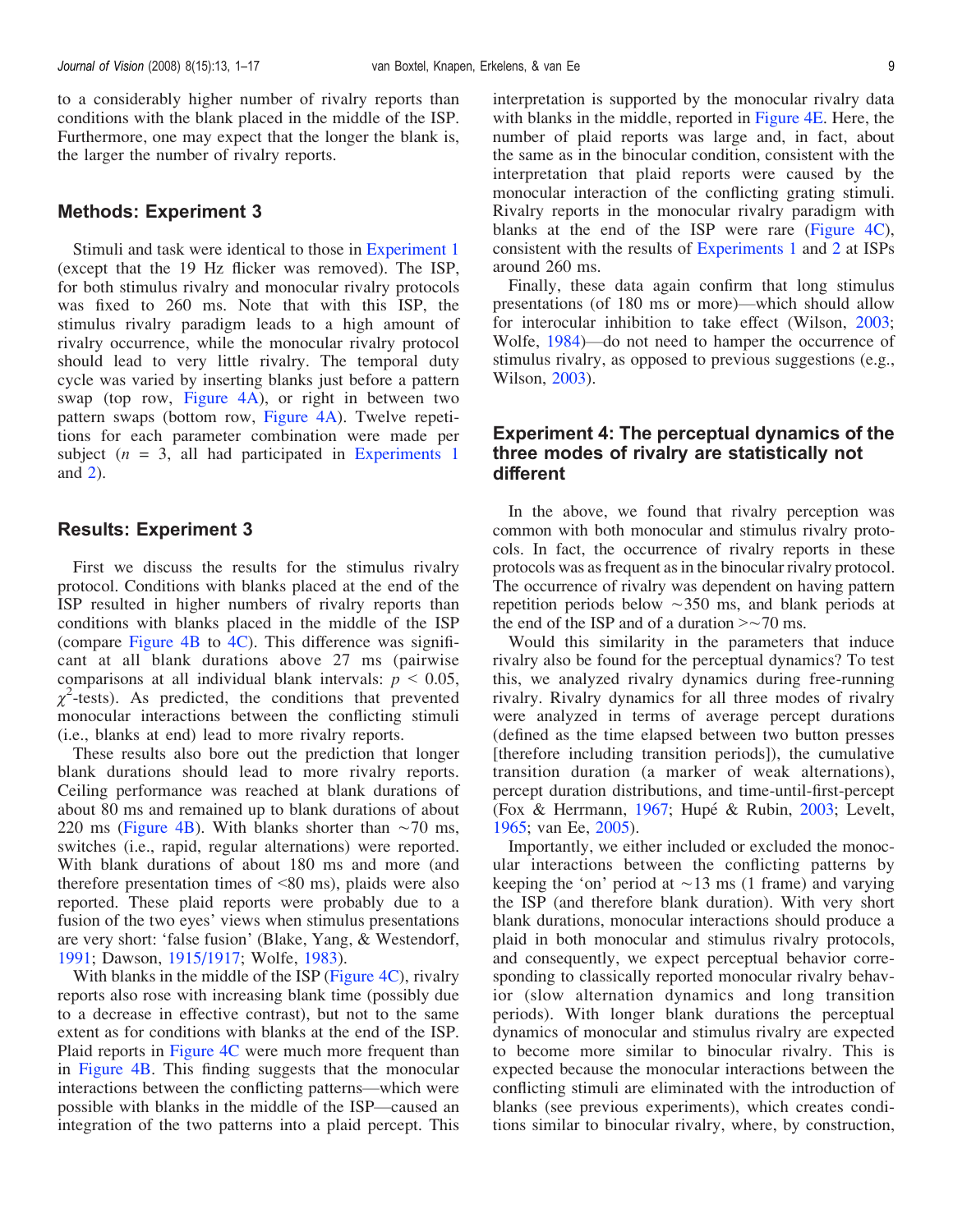to a considerably higher number of rivalry reports than conditions with the blank placed in the middle of the ISP. Furthermore, one may expect that the longer the blank is, the larger the number of rivalry reports.

#### Methods: Experiment 3

Stimuli and task were identical to those in [Experiment 1](#page-2-0) (except that the 19 Hz flicker was removed). The ISP, for both stimulus rivalry and monocular rivalry protocols was fixed to 260 ms. Note that with this ISP, the stimulus rivalry paradigm leads to a high amount of rivalry occurrence, while the monocular rivalry protocol should lead to very little rivalry. The temporal duty cycle was varied by inserting blanks just before a pattern swap (top row, [Figure 4A](#page-7-0)), or right in between two pattern swaps (bottom row, [Figure 4A\)](#page-7-0). Twelve repetitions for each parameter combination were made per subject  $(n = 3)$ , all had participated in [Experiments 1](#page-2-0) and [2\)](#page-5-0).

## Results: Experiment 3

First we discuss the results for the stimulus rivalry protocol. Conditions with blanks placed at the end of the ISP resulted in higher numbers of rivalry reports than conditions with blanks placed in the middle of the ISP (compare [Figure 4B](#page-7-0) to [4C](#page-7-0)). This difference was significant at all blank durations above 27 ms (pairwise comparisons at all individual blank intervals:  $p < 0.05$ ,  $\chi^2$ -tests). As predicted, the conditions that prevented monocular interactions between the conflicting stimuli (i.e., blanks at end) lead to more rivalry reports.

These results also bore out the prediction that longer blank durations should lead to more rivalry reports. Ceiling performance was reached at blank durations of about 80 ms and remained up to blank durations of about 220 ms [\(Figure 4B](#page-7-0)). With blanks shorter than  $\sim$ 70 ms, switches (i.e., rapid, regular alternations) were reported. With blank durations of about 180 ms and more (and therefore presentation times of  $\leq 80$  ms), plaids were also reported. These plaid reports were probably due to a fusion of the two eyes' views when stimulus presentations are very short: 'false fusion' (Blake, Yang, & Westendorf, [1991;](#page-13-0) Dawson, [1915/1917;](#page-14-0) Wolfe, [1983](#page-16-0)).

<span id="page-8-0"></span>With blanks in the middle of the ISP ([Figure 4C](#page-7-0)), rivalry reports also rose with increasing blank time (possibly due to a decrease in effective contrast), but not to the same extent as for conditions with blanks at the end of the ISP. Plaid reports in [Figure 4C](#page-7-0) were much more frequent than in [Figure 4B](#page-7-0). This finding suggests that the monocular interactions between the conflicting patterns—which were possible with blanks in the middle of the ISP—caused an integration of the two patterns into a plaid percept. This

interpretation is supported by the monocular rivalry data with blanks in the middle, reported in [Figure 4E.](#page-7-0) Here, the number of plaid reports was large and, in fact, about the same as in the binocular condition, consistent with the interpretation that plaid reports were caused by the monocular interaction of the conflicting grating stimuli. Rivalry reports in the monocular rivalry paradigm with blanks at the end of the ISP were rare ([Figure 4C\)](#page-7-0), consistent with the results of [Experiments 1](#page-2-0) and [2](#page-5-0) at ISPs around 260 ms.

Finally, these data again confirm that long stimulus presentations (of 180 ms or more)—which should allow for interocular inhibition to take effect (Wilson, [2003;](#page-16-0) Wolfe, [1984](#page-16-0))—do not need to hamper the occurrence of stimulus rivalry, as opposed to previous suggestions (e.g., Wilson, [2003\)](#page-16-0).

## Experiment 4: The perceptual dynamics of the three modes of rivalry are statistically not different

In the above, we found that rivalry perception was common with both monocular and stimulus rivalry protocols. In fact, the occurrence of rivalry reports in these protocols was as frequent as in the binocular rivalry protocol. The occurrence of rivalry was dependent on having pattern repetition periods below  $\sim$ 350 ms, and blank periods at the end of the ISP and of a duration  $\geq$  ~70 ms.

Would this similarity in the parameters that induce rivalry also be found for the perceptual dynamics? To test this, we analyzed rivalry dynamics during free-running rivalry. Rivalry dynamics for all three modes of rivalry were analyzed in terms of average percept durations (defined as the time elapsed between two button presses [therefore including transition periods]), the cumulative transition duration (a marker of weak alternations), percept duration distributions, and time-until-first-percept (Fox & Herrmann, [1967;](#page-14-0) Hupé & Rubin, [2003](#page-14-0); Levelt, [1965;](#page-15-0) van Ee, [2005\)](#page-16-0).

Importantly, we either included or excluded the monocular interactions between the conflicting patterns by keeping the 'on' period at  $\sim$ 13 ms (1 frame) and varying the ISP (and therefore blank duration). With very short blank durations, monocular interactions should produce a plaid in both monocular and stimulus rivalry protocols, and consequently, we expect perceptual behavior corresponding to classically reported monocular rivalry behavior (slow alternation dynamics and long transition periods). With longer blank durations the perceptual dynamics of monocular and stimulus rivalry are expected to become more similar to binocular rivalry. This is expected because the monocular interactions between the conflicting stimuli are eliminated with the introduction of blanks (see previous experiments), which creates conditions similar to binocular rivalry, where, by construction,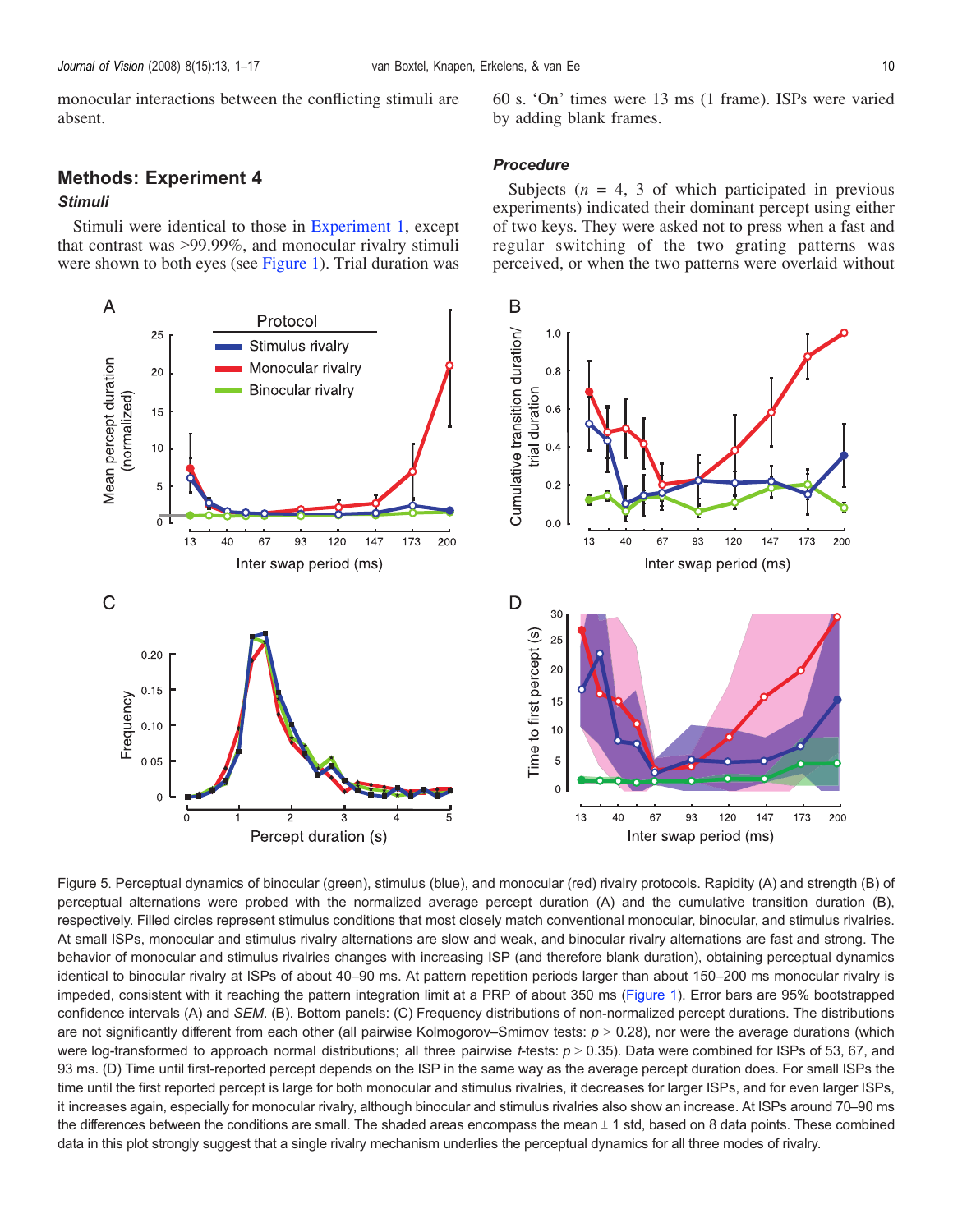monocular interactions between the conflicting stimuli are absent.

## Methods: Experiment 4

## **Stimuli**

Stimuli were identical to those in [Experiment 1](#page-2-0), except that contrast was  $>99.99\%$ , and monocular rivalry stimuli were shown to both eyes (see [Figure 1\)](#page-3-0). Trial duration was 60 s. 'On' times were 13 ms (1 frame). ISPs were varied by adding blank frames.

#### Procedure

Subjects ( $n = 4$ , 3 of which participated in previous experiments) indicated their dominant percept using either of two keys. They were asked not to press when a fast and regular switching of the two grating patterns was perceived, or when the two patterns were overlaid without



<span id="page-9-0"></span>Figure 5. Perceptual dynamics of binocular (green), stimulus (blue), and monocular (red) rivalry protocols. Rapidity (A) and strength (B) of perceptual alternations were probed with the normalized average percept duration (A) and the cumulative transition duration (B), respectively. Filled circles represent stimulus conditions that most closely match conventional monocular, binocular, and stimulus rivalries. At small ISPs, monocular and stimulus rivalry alternations are slow and weak, and binocular rivalry alternations are fast and strong. The behavior of monocular and stimulus rivalries changes with increasing ISP (and therefore blank duration), obtaining perceptual dynamics identical to binocular rivalry at ISPs of about 40–90 ms. At pattern repetition periods larger than about 150–200 ms monocular rivalry is impeded, consistent with it reaching the pattern integration limit at a PRP of about 350 ms [\(Figure 1](#page-3-0)). Error bars are 95% bootstrapped confidence intervals (A) and  $SEM$ . (B). Bottom panels: (C) Frequency distributions of non-normalized percept durations. The distributions are not significantly different from each other (all pairwise Kolmogorov–Smirnov tests:  $p > 0.28$ ), nor were the average durations (which were log-transformed to approach normal distributions; all three pairwise t-tests:  $p > 0.35$ ). Data were combined for ISPs of 53, 67, and 93 ms. (D) Time until first-reported percept depends on the ISP in the same way as the average percept duration does. For small ISPs the time until the first reported percept is large for both monocular and stimulus rivalries, it decreases for larger ISPs, and for even larger ISPs, it increases again, especially for monocular rivalry, although binocular and stimulus rivalries also show an increase. At ISPs around 70–90 ms the differences between the conditions are small. The shaded areas encompass the mean  $\pm$  1 std, based on 8 data points. These combined data in this plot strongly suggest that a single rivalry mechanism underlies the perceptual dynamics for all three modes of rivalry.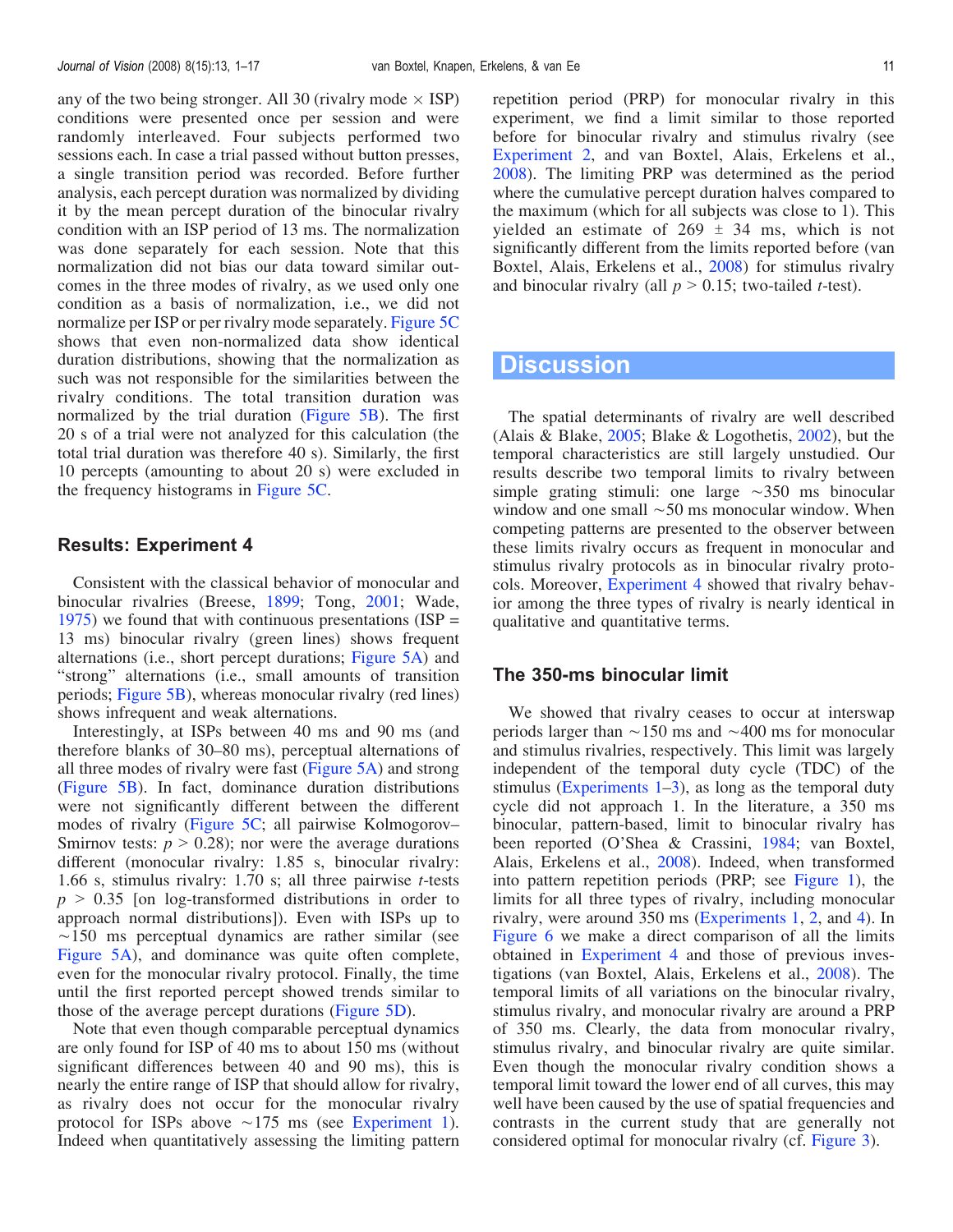any of the two being stronger. All 30 (rivalry mode  $\times$  ISP) conditions were presented once per session and were randomly interleaved. Four subjects performed two sessions each. In case a trial passed without button presses, a single transition period was recorded. Before further analysis, each percept duration was normalized by dividing it by the mean percept duration of the binocular rivalry condition with an ISP period of 13 ms. The normalization was done separately for each session. Note that this normalization did not bias our data toward similar outcomes in the three modes of rivalry, as we used only one condition as a basis of normalization, i.e., we did not normalize per ISP or per rivalry mode separately. [Figure 5C](#page-9-0) shows that even non-normalized data show identical duration distributions, showing that the normalization as such was not responsible for the similarities between the rivalry conditions. The total transition duration was normalized by the trial duration ([Figure 5B](#page-9-0)). The first 20 s of a trial were not analyzed for this calculation (the total trial duration was therefore 40 s). Similarly, the first 10 percepts (amounting to about 20 s) were excluded in the frequency histograms in [Figure 5C](#page-9-0).

#### Results: Experiment 4

Consistent with the classical behavior of monocular and binocular rivalries (Breese, [1899;](#page-14-0) Tong, [2001](#page-15-0); Wade, [1975\)](#page-16-0) we found that with continuous presentations ( $ISP =$ 13 ms) binocular rivalry (green lines) shows frequent alternations (i.e., short percept durations; [Figure 5A\)](#page-9-0) and "strong" alternations (i.e., small amounts of transition periods; [Figure 5B\)](#page-9-0), whereas monocular rivalry (red lines) shows infrequent and weak alternations.

Interestingly, at ISPs between 40 ms and 90 ms (and therefore blanks of 30–80 ms), perceptual alternations of all three modes of rivalry were fast [\(Figure 5A](#page-9-0)) and strong ([Figure 5B\)](#page-9-0). In fact, dominance duration distributions were not significantly different between the different modes of rivalry [\(Figure 5C;](#page-9-0) all pairwise Kolmogorov– Smirnov tests:  $p > 0.28$ ); nor were the average durations different (monocular rivalry: 1.85 s, binocular rivalry: 1.66 s, stimulus rivalry: 1.70 s; all three pairwise  $t$ -tests  $p > 0.35$  [on log-transformed distributions in order to approach normal distributions]). Even with ISPs up to  $\sim$ 150 ms perceptual dynamics are rather similar (see [Figure 5A\)](#page-9-0), and dominance was quite often complete, even for the monocular rivalry protocol. Finally, the time until the first reported percept showed trends similar to those of the average percept durations [\(Figure 5D](#page-9-0)).

Note that even though comparable perceptual dynamics are only found for ISP of 40 ms to about 150 ms (without significant differences between 40 and 90 ms), this is nearly the entire range of ISP that should allow for rivalry, as rivalry does not occur for the monocular rivalry protocol for ISPs above  $\sim$ 175 ms (see [Experiment 1\)](#page-2-0). Indeed when quantitatively assessing the limiting pattern repetition period (PRP) for monocular rivalry in this experiment, we find a limit similar to those reported before for binocular rivalry and stimulus rivalry (see [Experiment 2,](#page-5-0) and van Boxtel, Alais, Erkelens et al., [2008\)](#page-15-0). The limiting PRP was determined as the period where the cumulative percept duration halves compared to the maximum (which for all subjects was close to 1). This yielded an estimate of  $269 \pm 34$  ms, which is not significantly different from the limits reported before (van Boxtel, Alais, Erkelens et al., [2008](#page-15-0)) for stimulus rivalry and binocular rivalry (all  $p > 0.15$ ; two-tailed *t*-test).

## **Discussion**

The spatial determinants of rivalry are well described (Alais & Blake, [2005](#page-13-0); Blake & Logothetis, [2002\)](#page-13-0), but the temporal characteristics are still largely unstudied. Our results describe two temporal limits to rivalry between simple grating stimuli: one large  $\sim$ 350 ms binocular window and one small  $\sim$  50 ms monocular window. When competing patterns are presented to the observer between these limits rivalry occurs as frequent in monocular and stimulus rivalry protocols as in binocular rivalry protocols. Moreover, [Experiment 4](#page-8-0) showed that rivalry behavior among the three types of rivalry is nearly identical in qualitative and quantitative terms.

### The 350-ms binocular limit

We showed that rivalry ceases to occur at interswap periods larger than  $\sim$ 150 ms and  $\sim$ 400 ms for monocular and stimulus rivalries, respectively. This limit was largely independent of the temporal duty cycle (TDC) of the stimulus (Experiments  $1-3$ ), as long as the temporal duty cycle did not approach 1. In the literature, a 350 ms binocular, pattern-based, limit to binocular rivalry has been reported (O'Shea & Crassini, [1984](#page-15-0); van Boxtel, Alais, Erkelens et al., [2008](#page-15-0)). Indeed, when transformed into pattern repetition periods (PRP; see [Figure 1\)](#page-3-0), the limits for all three types of rivalry, including monocular rivalry, were around 350 ms ([Experiments 1](#page-2-0), [2,](#page-5-0) and [4](#page-8-0)). In [Figure 6](#page-11-0) we make a direct comparison of all the limits obtained in [Experiment 4](#page-8-0) and those of previous investigations (van Boxtel, Alais, Erkelens et al., [2008\)](#page-15-0). The temporal limits of all variations on the binocular rivalry, stimulus rivalry, and monocular rivalry are around a PRP of 350 ms. Clearly, the data from monocular rivalry, stimulus rivalry, and binocular rivalry are quite similar. Even though the monocular rivalry condition shows a temporal limit toward the lower end of all curves, this may well have been caused by the use of spatial frequencies and contrasts in the current study that are generally not considered optimal for monocular rivalry (cf. [Figure 3](#page-6-0)).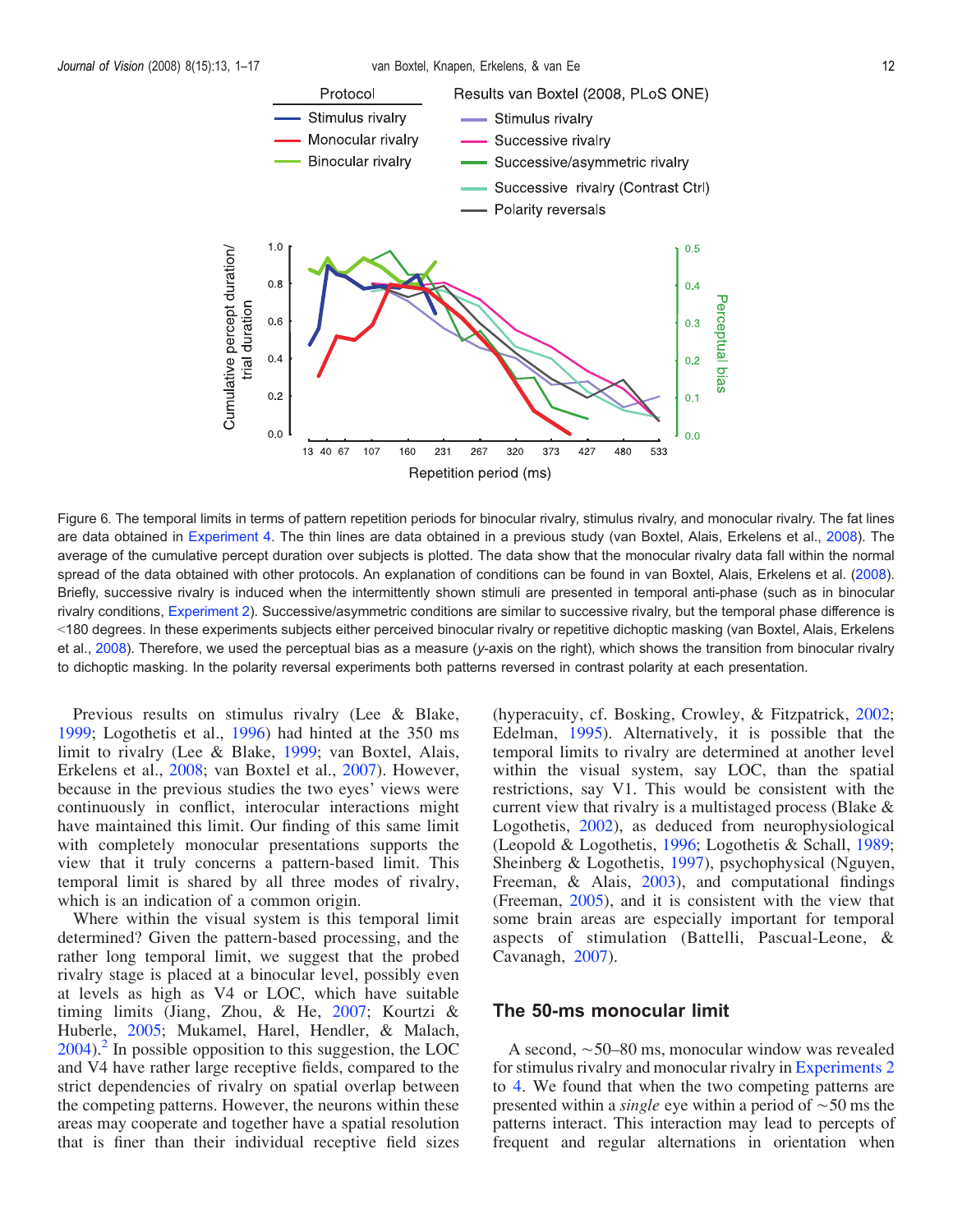



Figure 6. The temporal limits in terms of pattern repetition periods for binocular rivalry, stimulus rivalry, and monocular rivalry. The fat lines are data obtained in [Experiment 4](#page-8-0). The thin lines are data obtained in a previous study (van Boxtel, Alais, Erkelens et al., [2008](#page-15-0)). The average of the cumulative percept duration over subjects is plotted. The data show that the monocular rivalry data fall within the normal spread of the data obtained with other protocols. An explanation of conditions can be found in van Boxtel, Alais, Erkelens et al. ([2008\)](#page-15-0). Briefly, successive rivalry is induced when the intermittently shown stimuli are presented in temporal anti-phase (such as in binocular rivalry conditions, [Experiment 2\)](#page-5-0). Successive/asymmetric conditions are similar to successive rivalry, but the temporal phase difference is G180 degrees. In these experiments subjects either perceived binocular rivalry or repetitive dichoptic masking (van Boxtel, Alais, Erkelens et al., [2008](#page-15-0)). Therefore, we used the perceptual bias as a measure (y-axis on the right), which shows the transition from binocular rivalry to dichoptic masking. In the polarity reversal experiments both patterns reversed in contrast polarity at each presentation.

Previous results on stimulus rivalry (Lee & Blake, [1999;](#page-14-0) Logothetis et al., [1996](#page-15-0)) had hinted at the 350 ms limit to rivalry (Lee & Blake, [1999;](#page-14-0) van Boxtel, Alais, Erkelens et al., [2008;](#page-15-0) van Boxtel et al., [2007](#page-16-0)). However, because in the previous studies the two eyes' views were continuously in conflict, interocular interactions might have maintained this limit. Our finding of this same limit with completely monocular presentations supports the view that it truly concerns a pattern-based limit. This temporal limit is shared by all three modes of rivalry, which is an indication of a common origin.

<span id="page-11-0"></span>Where within the visual system is this temporal limit determined? Given the pattern-based processing, and the rather long temporal limit, we suggest that the probed rivalry stage is placed at a binocular level, possibly even at levels as high as V4 or LOC, which have suitable timing limits (Jiang, Zhou, & He, [2007;](#page-14-0) Kourtzi & Huberle, [2005;](#page-14-0) Mukamel, Harel, Hendler, & Malach,  $2004$ .<sup>2</sup> In possible opposition to this suggestion, the LOC and V4 have rather large receptive fields, compared to the strict dependencies of rivalry on spatial overlap between the competing patterns. However, the neurons within these areas may cooperate and together have a spatial resolution that is finer than their individual receptive field sizes

(hyperacuity, cf. Bosking, Crowley, & Fitzpatrick, [2002;](#page-14-0) Edelman, [1995](#page-14-0)). Alternatively, it is possible that the temporal limits to rivalry are determined at another level within the visual system, say LOC, than the spatial restrictions, say V1. This would be consistent with the current view that rivalry is a multistaged process (Blake & Logothetis, [2002](#page-13-0)), as deduced from neurophysiological (Leopold & Logothetis, [1996](#page-15-0); Logothetis & Schall, [1989;](#page-15-0) Sheinberg & Logothetis, [1997\)](#page-15-0), psychophysical (Nguyen, Freeman, & Alais, [2003](#page-15-0)), and computational findings (Freeman, [2005](#page-14-0)), and it is consistent with the view that some brain areas are especially important for temporal aspects of stimulation (Battelli, Pascual-Leone, & Cavanagh, [2007\)](#page-13-0).

## The 50-ms monocular limit

A second,  $\sim$  50–80 ms, monocular window was revealed for stimulus rivalry and monocular rivalry in [Experiments 2](#page-5-0) to [4](#page-8-0). We found that when the two competing patterns are presented within a *single* eye within a period of  $\sim$  50 ms the patterns interact. This interaction may lead to percepts of frequent and regular alternations in orientation when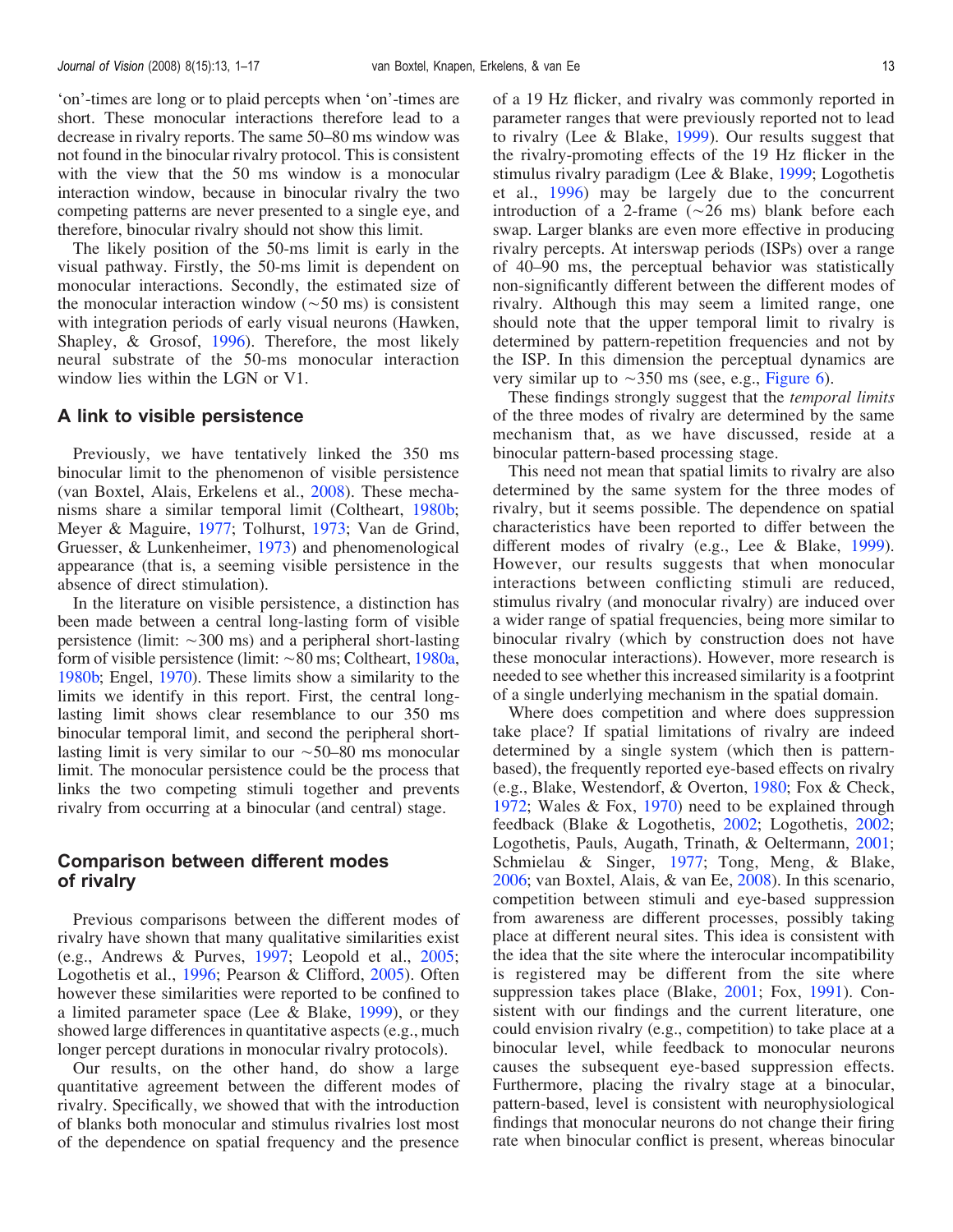'on'-times are long or to plaid percepts when 'on'-times are short. These monocular interactions therefore lead to a decrease in rivalry reports. The same 50–80 ms window was not found in the binocular rivalry protocol. This is consistent with the view that the 50 ms window is a monocular interaction window, because in binocular rivalry the two competing patterns are never presented to a single eye, and therefore, binocular rivalry should not show this limit.

The likely position of the 50-ms limit is early in the visual pathway. Firstly, the 50-ms limit is dependent on monocular interactions. Secondly, the estimated size of the monocular interaction window  $(\sim 50 \text{ ms})$  is consistent with integration periods of early visual neurons (Hawken, Shapley, & Grosof, [1996\)](#page-14-0). Therefore, the most likely neural substrate of the 50-ms monocular interaction window lies within the LGN or V1.

#### A link to visible persistence

Previously, we have tentatively linked the 350 ms binocular limit to the phenomenon of visible persistence (van Boxtel, Alais, Erkelens et al., [2008\)](#page-15-0). These mechanisms share a similar temporal limit (Coltheart, [1980b](#page-14-0); Meyer & Maguire, [1977;](#page-15-0) Tolhurst, [1973](#page-15-0); Van de Grind, Gruesser, & Lunkenheimer, [1973](#page-16-0)) and phenomenological appearance (that is, a seeming visible persistence in the absence of direct stimulation).

In the literature on visible persistence, a distinction has been made between a central long-lasting form of visible persistence (limit:  $\sim$ 300 ms) and a peripheral short-lasting form of visible persistence (limit:  $\sim 80$  ms; Coltheart, [1980a](#page-14-0), [1980b;](#page-14-0) Engel, [1970](#page-14-0)). These limits show a similarity to the limits we identify in this report. First, the central longlasting limit shows clear resemblance to our 350 ms binocular temporal limit, and second the peripheral shortlasting limit is very similar to our  $\sim$  50–80 ms monocular limit. The monocular persistence could be the process that links the two competing stimuli together and prevents rivalry from occurring at a binocular (and central) stage.

## Comparison between different modes of rivalry

Previous comparisons between the different modes of rivalry have shown that many qualitative similarities exist (e.g., Andrews & Purves, [1997](#page-13-0); Leopold et al., [2005](#page-15-0); Logothetis et al., [1996;](#page-15-0) Pearson & Clifford, [2005\)](#page-15-0). Often however these similarities were reported to be confined to a limited parameter space (Lee & Blake, [1999](#page-14-0)), or they showed large differences in quantitative aspects (e.g., much longer percept durations in monocular rivalry protocols).

Our results, on the other hand, do show a large quantitative agreement between the different modes of rivalry. Specifically, we showed that with the introduction of blanks both monocular and stimulus rivalries lost most of the dependence on spatial frequency and the presence

of a 19 Hz flicker, and rivalry was commonly reported in parameter ranges that were previously reported not to lead to rivalry (Lee & Blake, [1999\)](#page-14-0). Our results suggest that the rivalry-promoting effects of the 19 Hz flicker in the stimulus rivalry paradigm (Lee & Blake, [1999;](#page-14-0) Logothetis et al., [1996\)](#page-15-0) may be largely due to the concurrent introduction of a 2-frame  $(\sim 26 \text{ ms})$  blank before each swap. Larger blanks are even more effective in producing rivalry percepts. At interswap periods (ISPs) over a range of 40–90 ms, the perceptual behavior was statistically non-significantly different between the different modes of rivalry. Although this may seem a limited range, one should note that the upper temporal limit to rivalry is determined by pattern-repetition frequencies and not by the ISP. In this dimension the perceptual dynamics are very similar up to  $\sim$ 350 ms (see, e.g., [Figure 6\)](#page-11-0).

These findings strongly suggest that the *temporal limits* of the three modes of rivalry are determined by the same mechanism that, as we have discussed, reside at a binocular pattern-based processing stage.

This need not mean that spatial limits to rivalry are also determined by the same system for the three modes of rivalry, but it seems possible. The dependence on spatial characteristics have been reported to differ between the different modes of rivalry (e.g., Lee & Blake, [1999\)](#page-14-0). However, our results suggests that when monocular interactions between conflicting stimuli are reduced, stimulus rivalry (and monocular rivalry) are induced over a wider range of spatial frequencies, being more similar to binocular rivalry (which by construction does not have these monocular interactions). However, more research is needed to see whether this increased similarity is a footprint of a single underlying mechanism in the spatial domain.

Where does competition and where does suppression take place? If spatial limitations of rivalry are indeed determined by a single system (which then is patternbased), the frequently reported eye-based effects on rivalry (e.g., Blake, Westendorf, & Overton, [1980;](#page-13-0) Fox & Check, [1972;](#page-14-0) Wales & Fox, [1970](#page-16-0)) need to be explained through feedback (Blake & Logothetis, [2002;](#page-13-0) Logothetis, [2002;](#page-15-0) Logothetis, Pauls, Augath, Trinath, & Oeltermann, [2001;](#page-15-0) Schmielau & Singer, [1977](#page-15-0); Tong, Meng, & Blake, [2006;](#page-15-0) van Boxtel, Alais, & van Ee, [2008\)](#page-16-0). In this scenario, competition between stimuli and eye-based suppression from awareness are different processes, possibly taking place at different neural sites. This idea is consistent with the idea that the site where the interocular incompatibility is registered may be different from the site where suppression takes place (Blake, [2001;](#page-13-0) Fox, [1991\)](#page-14-0). Consistent with our findings and the current literature, one could envision rivalry (e.g., competition) to take place at a binocular level, while feedback to monocular neurons causes the subsequent eye-based suppression effects. Furthermore, placing the rivalry stage at a binocular, pattern-based, level is consistent with neurophysiological findings that monocular neurons do not change their firing rate when binocular conflict is present, whereas binocular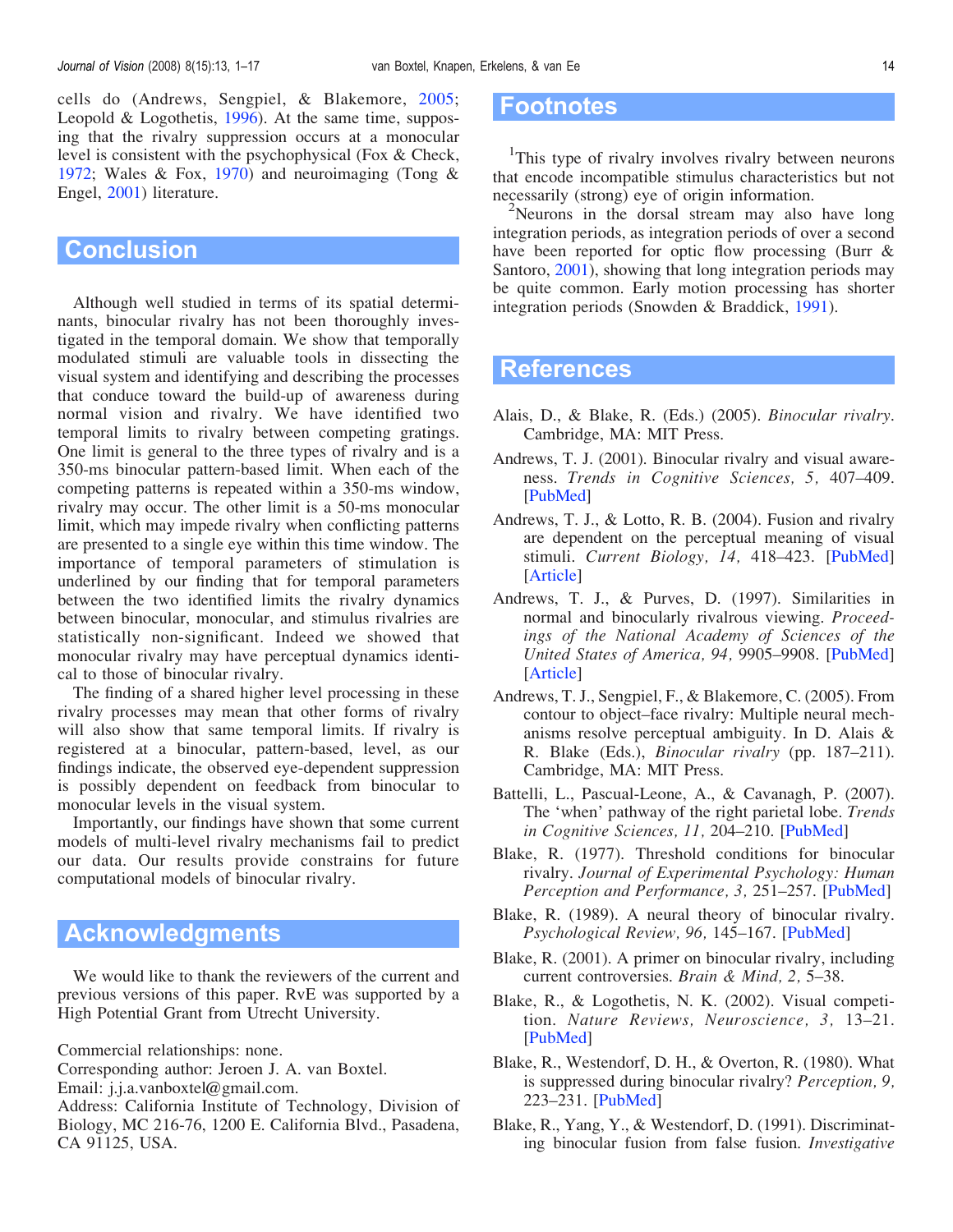cells do (Andrews, Sengpiel, & Blakemore, [2005](#page-13-0); Leopold & Logothetis, [1996\)](#page-15-0). At the same time, supposing that the rivalry suppression occurs at a monocular level is consistent with the psychophysical (Fox & Check, [1972;](#page-14-0) Wales & Fox, [1970](#page-16-0)) and neuroimaging (Tong & Engel, [2001\)](#page-15-0) literature.

## **Conclusion**

Although well studied in terms of its spatial determinants, binocular rivalry has not been thoroughly investigated in the temporal domain. We show that temporally modulated stimuli are valuable tools in dissecting the visual system and identifying and describing the processes that conduce toward the build-up of awareness during normal vision and rivalry. We have identified two temporal limits to rivalry between competing gratings. One limit is general to the three types of rivalry and is a 350-ms binocular pattern-based limit. When each of the competing patterns is repeated within a 350-ms window, rivalry may occur. The other limit is a 50-ms monocular limit, which may impede rivalry when conflicting patterns are presented to a single eye within this time window. The importance of temporal parameters of stimulation is underlined by our finding that for temporal parameters between the two identified limits the rivalry dynamics between binocular, monocular, and stimulus rivalries are statistically non-significant. Indeed we showed that monocular rivalry may have perceptual dynamics identical to those of binocular rivalry.

The finding of a shared higher level processing in these rivalry processes may mean that other forms of rivalry will also show that same temporal limits. If rivalry is registered at a binocular, pattern-based, level, as our findings indicate, the observed eye-dependent suppression is possibly dependent on feedback from binocular to monocular levels in the visual system.

Importantly, our findings have shown that some current models of multi-level rivalry mechanisms fail to predict our data. Our results provide constrains for future computational models of binocular rivalry.

## Acknowledgments

We would like to thank the reviewers of the current and previous versions of this paper. RvE was supported by a High Potential Grant from Utrecht University.

Commercial relationships: none.

Corresponding author: Jeroen J. A. van Boxtel.

Email: j.j.a.vanboxtel@gmail.com.

<span id="page-13-0"></span>Address: California Institute of Technology, Division of Biology, MC 216-76, 1200 E. California Blvd., Pasadena, CA 91125, USA.

## Footnotes

<sup>1</sup>This type of rivalry involves rivalry between neurons that encode incompatible stimulus characteristics but not necessarily (strong) eye of origin information. <sup>2</sup>

<sup>2</sup>Neurons in the dorsal stream may also have long integration periods, as integration periods of over a second have been reported for optic flow processing (Burr & Santoro, [2001](#page-14-0)), showing that long integration periods may be quite common. Early motion processing has shorter integration periods (Snowden & Braddick, [1991\)](#page-15-0).

## References

- Alais, D., & Blake, R. (Eds.) (2005). Binocular rivalry. Cambridge, MA: MIT Press.
- Andrews, T. J. (2001). Binocular rivalry and visual awareness. Trends in Cognitive Sciences, 5, 407–409. [\[PubMed\]](http://www.ncbi.nlm.nih.gov/pubmed/11707365?ordinalpos=47&itool=EntrezSystem2.PEntrez.Pubmed.Pubmed_ResultsPanel.Pubmed_DefaultReportPanel.Pubmed_RVDocSum)
- Andrews, T. J., & Lotto, R. B. (2004). Fusion and rivalry are dependent on the perceptual meaning of visual stimuli. Current Biology, 14, 418-423. [\[PubMed](http://www.ncbi.nlm.nih.gov/pubmed/15028218?ordinalpos=4&itool=EntrezSystem2.PEntrez.Pubmed.Pubmed_ResultsPanel.Pubmed_DefaultReportPanel.Pubmed_RVDocSum)] [\[Article\]](http://www.sciencedirect.com/science?_ob=ArticleURL&_udi=B6VRT-4C1X84F-12&_user=10&_rdoc=1&_fmt=&_orig=search&_sort=d&view=c&_version=1&_urlVersion=0&_userid=10&md5=b2830d8caa9d53be6d599c38f6fe985d)
- Andrews, T. J., & Purves, D. (1997). Similarities in normal and binocularly rivalrous viewing. Proceedings of the National Academy of Sciences of the United States of America, 94, 9905–9908. [\[PubMed](http://www.ncbi.nlm.nih.gov/pubmed/9275224?ordinalpos=43&itool=EntrezSystem2.PEntrez.Pubmed.Pubmed_ResultsPanel.Pubmed_DefaultReportPanel.Pubmed_RVDocSum)] [\[Article\]](http://www.pubmedcentral.nih.gov/articlerender.fcgi?tool=pubmed&pubmedid=9275224)
- Andrews, T. J., Sengpiel, F., & Blakemore, C. (2005). From contour to object–face rivalry: Multiple neural mechanisms resolve perceptual ambiguity. In D. Alais & R. Blake (Eds.), *Binocular rivalry* (pp. 187–211). Cambridge, MA: MIT Press.
- Battelli, L., Pascual-Leone, A., & Cavanagh, P. (2007). The 'when' pathway of the right parietal lobe. Trends in Cognitive Sciences, 11, 204–210. [[PubMed\]](http://www.ncbi.nlm.nih.gov/pubmed/17379569?ordinalpos=10&itool=EntrezSystem2.PEntrez.Pubmed.Pubmed_ResultsPanel.Pubmed_DefaultReportPanel.Pubmed_RVDocSum)
- Blake, R. (1977). Threshold conditions for binocular rivalry. Journal of Experimental Psychology: Human Perception and Performance, 3, 251–257. [\[PubMed](http://www.ncbi.nlm.nih.gov/pubmed/864397?ordinalpos=6&itool=EntrezSystem2.PEntrez.Pubmed.Pubmed_ResultsPanel.Pubmed_DefaultReportPanel.Pubmed_RVDocSum)]
- Blake, R. (1989). A neural theory of binocular rivalry. Psychological Review, 96, 145–167. [\[PubMed](http://www.ncbi.nlm.nih.gov/pubmed/2648445?ordinalpos=8&itool=EntrezSystem2.PEntrez.Pubmed.Pubmed_ResultsPanel.Pubmed_DefaultReportPanel.Pubmed_RVDocSum)]
- Blake, R. (2001). A primer on binocular rivalry, including current controversies. Brain & Mind, 2, 5–38.
- Blake, R., & Logothetis, N. K. (2002). Visual competition. Nature Reviews, Neuroscience, 3, 13–21. [\[PubMed](http://www.ncbi.nlm.nih.gov/pubmed/11823801?ordinalpos=82&itool=EntrezSystem2.PEntrez.Pubmed.Pubmed_ResultsPanel.Pubmed_DefaultReportPanel.Pubmed_RVDocSum)]
- Blake, R., Westendorf, D. H., & Overton, R. (1980). What is suppressed during binocular rivalry? Perception, 9, 223–231. [[PubMed\]](http://www.ncbi.nlm.nih.gov/pubmed/7375329?ordinalpos=73&itool=EntrezSystem2.PEntrez.Pubmed.Pubmed_ResultsPanel.Pubmed_DefaultReportPanel.Pubmed_RVDocSum)
- Blake, R., Yang, Y., & Westendorf, D. (1991). Discriminating binocular fusion from false fusion. Investigative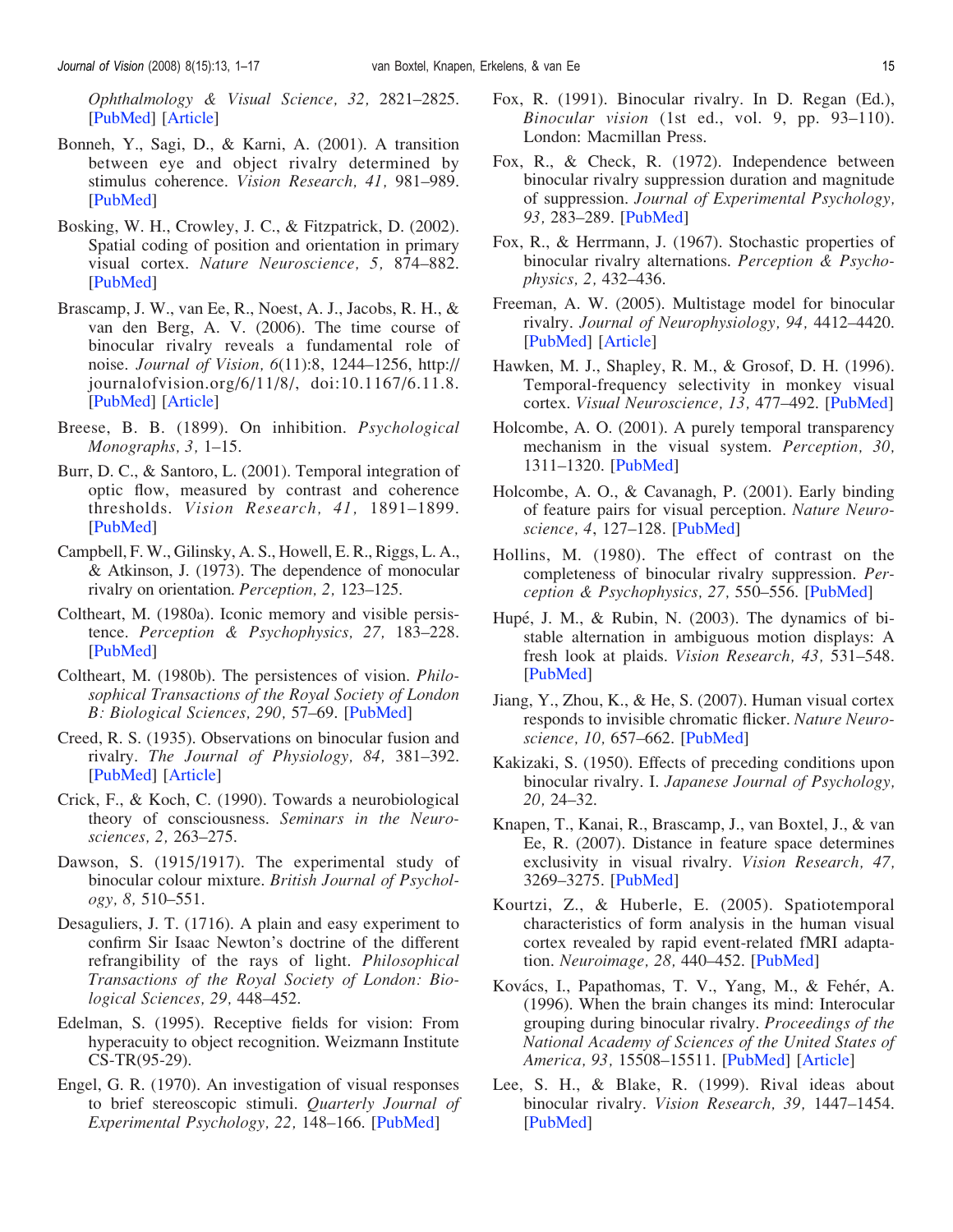Ophthalmology & Visual Science, 32, 2821–2825. [\[PubMed\]](http://www.ncbi.nlm.nih.gov/pubmed/1894479?ordinalpos=1&itool=EntrezSystem2.PEntrez.Pubmed.Pubmed_ResultsPanel.Pubmed_DefaultReportPanel.Pubmed_RVDocSum) [\[Article](http://www.iovs.org/cgi/reprint/32/10/2821)]

- Bonneh, Y., Sagi, D., & Karni, A. (2001). A transition between eye and object rivalry determined by stimulus coherence. Vision Research, 41, 981–989. [\[PubMed](http://www.ncbi.nlm.nih.gov/pubmed/11301073?ordinalpos=38&itool=EntrezSystem2.PEntrez.Pubmed.Pubmed_ResultsPanel.Pubmed_DefaultReportPanel.Pubmed_RVDocSum)]
- Bosking, W. H., Crowley, J. C., & Fitzpatrick, D. (2002). Spatial coding of position and orientation in primary visual cortex. Nature Neuroscience, 5, 874–882. [\[PubMed](http://www.ncbi.nlm.nih.gov/pubmed/12195429?ordinalpos=7&itool=EntrezSystem2.PEntrez.Pubmed.Pubmed_ResultsPanel.Pubmed_DefaultReportPanel.Pubmed_RVDocSum)]
- Brascamp, J. W., van Ee, R., Noest, A. J., Jacobs, R. H., & van den Berg, A. V. (2006). The time course of binocular rivalry reveals a fundamental role of noise. Journal of Vision, 6(11):8, 1244–1256, http:// journalofvision.org/6/11/8/, doi:10.1167/6.11.8. [\[PubMed\]](http://www.ncbi.nlm.nih.gov/pubmed/17209732?ordinalpos=3&itool=EntrezSystem2.PEntrez.Pubmed.Pubmed_ResultsPanel.Pubmed_DefaultReportPanel.Pubmed_RVDocSum) [\[Article](http://journalofvision.org/6/11/8/)]
- Breese, B. B. (1899). On inhibition. Psychological Monographs, 3, 1–15.
- Burr, D. C., & Santoro, L. (2001). Temporal integration of optic flow, measured by contrast and coherence thresholds. Vision Research, 41, 1891–1899. [\[PubMed](http://www.ncbi.nlm.nih.gov/pubmed/11412882?ordinalpos=13&itool=EntrezSystem2.PEntrez.Pubmed.Pubmed_ResultsPanel.Pubmed_DefaultReportPanel.Pubmed_RVDocSum)]
- Campbell, F. W., Gilinsky, A. S., Howell, E. R., Riggs, L. A., & Atkinson, J. (1973). The dependence of monocular rivalry on orientation. Perception, 2, 123–125.
- Coltheart, M. (1980a). Iconic memory and visible persistence. Perception & Psychophysics, 27, 183–228. [\[PubMed](http://www.ncbi.nlm.nih.gov/pubmed/6992093?ordinalpos=6&itool=EntrezSystem2.PEntrez.Pubmed.Pubmed_ResultsPanel.Pubmed_DefaultReportPanel.Pubmed_RVDocSum)]
- Coltheart, M. (1980b). The persistences of vision. Philosophical Transactions of the Royal Society of London B: Biological Sciences, 290, 57–69. [[PubMed\]](http://www.ncbi.nlm.nih.gov/pubmed/6106242?ordinalpos=3&itool=EntrezSystem2.PEntrez.Pubmed.Pubmed_ResultsPanel.Pubmed_DefaultReportPanel.Pubmed_RVDocSum)
- Creed, R. S. (1935). Observations on binocular fusion and rivalry. The Journal of Physiology, 84, 381–392. [\[PubMed](http://www.ncbi.nlm.nih.gov/pubmed/16994686?ordinalpos=3&itool=EntrezSystem2.PEntrez.Pubmed.Pubmed_ResultsPanel.Pubmed_DefaultReportPanel.Pubmed_RVDocSum)] [\[Article\]](http://www.pubmedcentral.nih.gov/articlerender.fcgi?tool=pubmed&pubmedid=16994686)
- Crick, F., & Koch, C. (1990). Towards a neurobiological theory of consciousness. Seminars in the Neurosciences, 2, 263–275.
- Dawson, S. (1915/1917). The experimental study of binocular colour mixture. British Journal of Psychology, 8, 510–551.
- Desaguliers, J. T. (1716). A plain and easy experiment to confirm Sir Isaac Newton's doctrine of the different refrangibility of the rays of light. Philosophical Transactions of the Royal Society of London: Biological Sciences, 29, 448–452.
- Edelman, S. (1995). Receptive fields for vision: From hyperacuity to object recognition. Weizmann Institute CS-TR(95-29).
- <span id="page-14-0"></span>Engel, G. R. (1970). An investigation of visual responses to brief stereoscopic stimuli. Quarterly Journal of Experimental Psychology, 22, 148–166. [\[PubMed](http://www.ncbi.nlm.nih.gov/pubmed/5431396?ordinalpos=6&itool=EntrezSystem2.PEntrez.Pubmed.Pubmed_ResultsPanel.Pubmed_DefaultReportPanel.Pubmed_RVDocSum)]
- Fox, R. (1991). Binocular rivalry. In D. Regan (Ed.), Binocular vision (1st ed., vol. 9, pp. 93–110). London: Macmillan Press.
- Fox, R., & Check, R. (1972). Independence between binocular rivalry suppression duration and magnitude of suppression. Journal of Experimental Psychology, 93, 283–289. [\[PubMed](http://www.ncbi.nlm.nih.gov/pubmed/5025733?ordinalpos=1&itool=EntrezSystem2.PEntrez.Pubmed.Pubmed_ResultsPanel.Pubmed_DefaultReportPanel.Pubmed_RVDocSum)]
- Fox, R., & Herrmann, J. (1967). Stochastic properties of binocular rivalry alternations. Perception & Psychophysics, 2, 432–436.
- Freeman, A. W. (2005). Multistage model for binocular rivalry. Journal of Neurophysiology, 94, 4412–4420. [\[PubMed](http://www.ncbi.nlm.nih.gov/pubmed/16148271?ordinalpos=2&itool=EntrezSystem2.PEntrez.Pubmed.Pubmed_ResultsPanel.Pubmed_DefaultReportPanel.Pubmed_RVDocSum)] [\[Article\]](http://jn.physiology.org/cgi/content/full/94/6/4412)
- Hawken, M. J., Shapley, R. M., & Grosof, D. H. (1996). Temporal-frequency selectivity in monkey visual cortex. Visual Neuroscience, 13, 477-492. [[PubMed\]](http://www.ncbi.nlm.nih.gov/pubmed/8782375?ordinalpos=7&itool=EntrezSystem2.PEntrez.Pubmed.Pubmed_ResultsPanel.Pubmed_DefaultReportPanel.Pubmed_RVDocSum)
- Holcombe, A. O. (2001). A purely temporal transparency mechanism in the visual system. Perception, 30, 1311–1320. [[PubMed\]](http://www.ncbi.nlm.nih.gov/pubmed/11768486?ordinalpos=16&itool=EntrezSystem2.PEntrez.Pubmed.Pubmed_ResultsPanel.Pubmed_DefaultReportPanel.Pubmed_RVDocSum)
- Holcombe, A. O., & Cavanagh, P. (2001). Early binding of feature pairs for visual perception. Nature Neuro-science, 4, 127-128. [\[PubMed](http://www.ncbi.nlm.nih.gov/pubmed/11175871)]
- Hollins, M. (1980). The effect of contrast on the completeness of binocular rivalry suppression. Per-ception & Psychophysics, 27, 550–556. [[PubMed\]](http://www.ncbi.nlm.nih.gov/pubmed/7393703?ordinalpos=39&itool=EntrezSystem2.PEntrez.Pubmed.Pubmed_ResultsPanel.Pubmed_DefaultReportPanel.Pubmed_RVDocSum)
- Hupé, J. M.,  $\&$  Rubin, N. (2003). The dynamics of bistable alternation in ambiguous motion displays: A fresh look at plaids. Vision Research, 43, 531–548. [\[PubMed](http://www.ncbi.nlm.nih.gov/pubmed/12594999?ordinalpos=15&itool=EntrezSystem2.PEntrez.Pubmed.Pubmed_ResultsPanel.Pubmed_DefaultReportPanel.Pubmed_RVDocSum)]
- Jiang, Y., Zhou, K., & He, S. (2007). Human visual cortex responds to invisible chromatic flicker. Nature Neuro-science, 10, 657–662. [[PubMed\]](http://www.ncbi.nlm.nih.gov/pubmed/17396122?ordinalpos=58&itool=EntrezSystem2.PEntrez.Pubmed.Pubmed_ResultsPanel.Pubmed_DefaultReportPanel.Pubmed_RVDocSum)
- Kakizaki, S. (1950). Effects of preceding conditions upon binocular rivalry. I. Japanese Journal of Psychology, 20, 24–32.
- Knapen, T., Kanai, R., Brascamp, J., van Boxtel, J., & van Ee, R. (2007). Distance in feature space determines exclusivity in visual rivalry. Vision Research, 47, 3269–3275. [[PubMed\]](http://www.ncbi.nlm.nih.gov/pubmed/17950397?ordinalpos=2&itool=EntrezSystem2.PEntrez.Pubmed.Pubmed_ResultsPanel.Pubmed_DefaultReportPanel.Pubmed_RVDocSum)
- Kourtzi, Z., & Huberle, E. (2005). Spatiotemporal characteristics of form analysis in the human visual cortex revealed by rapid event-related fMRI adapta-tion. Neuroimage, 28, 440-452. [\[PubMed](http://www.ncbi.nlm.nih.gov/pubmed/16046147?ordinalpos=2&itool=EntrezSystem2.PEntrez.Pubmed.Pubmed_ResultsPanel.Pubmed_DefaultReportPanel.Pubmed_RVDocSum)]
- Kovács, I., Papathomas, T. V., Yang, M., & Fehér, A. (1996). When the brain changes its mind: Interocular grouping during binocular rivalry. Proceedings of the National Academy of Sciences of the United States of America, 93, 15508–15511. [[PubMed\]](http://www.ncbi.nlm.nih.gov/pubmed/8986842?ordinalpos=2&itool=EntrezSystem2.PEntrez.Pubmed.Pubmed_ResultsPanel.Pubmed_DefaultReportPanel.Pubmed_RVDocSum) [[Article](http://www.pubmedcentral.nih.gov/articlerender.fcgi?tool=pubmed&pubmedid=8986842)]
- Lee, S. H., & Blake, R. (1999). Rival ideas about binocular rivalry. Vision Research, 39, 1447–1454. [\[PubMed](http://www.ncbi.nlm.nih.gov/pubmed/10343813?ordinalpos=98&itool=EntrezSystem2.PEntrez.Pubmed.Pubmed_ResultsPanel.Pubmed_DefaultReportPanel.Pubmed_RVDocSum)]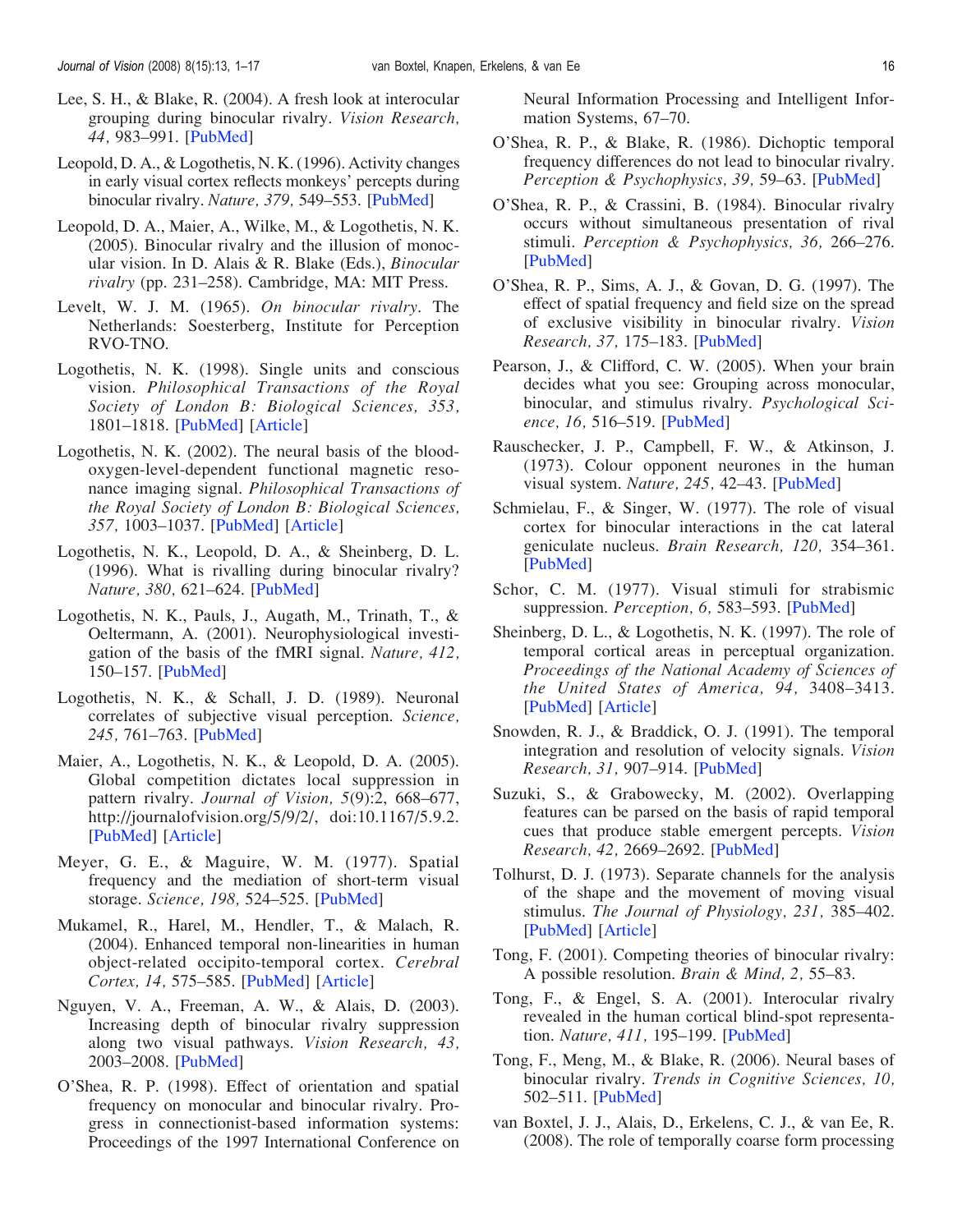- Lee, S. H., & Blake, R. (2004). A fresh look at interocular grouping during binocular rivalry. Vision Research, 44, 983–991. [\[PubMed](http://www.ncbi.nlm.nih.gov/pubmed/15031091?ordinalpos=65&itool=EntrezSystem2.PEntrez.Pubmed.Pubmed_ResultsPanel.Pubmed_DefaultReportPanel.Pubmed_RVDocSum)]
- Leopold, D. A., & Logothetis, N. K. (1996). Activity changes in early visual cortex reflects monkeys' percepts during binocular rivalry. Nature, 379, 549–553. [\[PubMed\]](http://www.ncbi.nlm.nih.gov/pubmed/8596635?ordinalpos=65&itool=EntrezSystem2.PEntrez.Pubmed.Pubmed_ResultsPanel.Pubmed_DefaultReportPanel.Pubmed_RVDocSum)
- Leopold, D. A., Maier, A., Wilke, M., & Logothetis, N. K. (2005). Binocular rivalry and the illusion of monocular vision. In D. Alais & R. Blake (Eds.), Binocular rivalry (pp. 231–258). Cambridge, MA: MIT Press.
- Levelt, W. J. M. (1965). On binocular rivalry. The Netherlands: Soesterberg, Institute for Perception RVO-TNO.
- Logothetis, N. K. (1998). Single units and conscious vision. Philosophical Transactions of the Royal Society of London B: Biological Sciences, 353, 1801–1818. [\[PubMed](http://www.ncbi.nlm.nih.gov/pubmed/9854253?ordinalpos=2&itool=EntrezSystem2.PEntrez.Pubmed.Pubmed_ResultsPanel.Pubmed_DefaultReportPanel.Pubmed_RVDocSum)] [[Article\]](http://www.pubmedcentral.nih.gov/articlerender.fcgi?tool=pubmed&pubmedid=9854253)
- Logothetis, N. K. (2002). The neural basis of the bloodoxygen-level-dependent functional magnetic resonance imaging signal. Philosophical Transactions of the Royal Society of London B: Biological Sciences, 357, 1003–1037. [[PubMed\]](http://www.ncbi.nlm.nih.gov/pubmed/12217171?ordinalpos=45&itool=EntrezSystem2.PEntrez.Pubmed.Pubmed_ResultsPanel.Pubmed_DefaultReportPanel.Pubmed_RVDocSum) [[Article](http://www.pubmedcentral.nih.gov/articlerender.fcgi?tool=pubmed&pubmedid=12217171)]
- Logothetis, N. K., Leopold, D. A., & Sheinberg, D. L. (1996). What is rivalling during binocular rivalry? Nature, 380, 621–624. [[PubMed\]](http://www.ncbi.nlm.nih.gov/pubmed/8602261?ordinalpos=7&itool=EntrezSystem2.PEntrez.Pubmed.Pubmed_ResultsPanel.Pubmed_DefaultReportPanel.Pubmed_RVDocSum)
- Logothetis, N. K., Pauls, J., Augath, M., Trinath, T., & Oeltermann, A. (2001). Neurophysiological investigation of the basis of the fMRI signal. Nature, 412, 150–157. [\[PubMed](http://www.ncbi.nlm.nih.gov/pubmed/11449264?ordinalpos=4&itool=EntrezSystem2.PEntrez.Pubmed.Pubmed_ResultsPanel.Pubmed_DefaultReportPanel.Pubmed_RVDocSum)]
- Logothetis, N. K., & Schall, J. D. (1989). Neuronal correlates of subjective visual perception. Science, 245, 761–763. [[PubMed\]](http://www.ncbi.nlm.nih.gov/pubmed/2772635?ordinalpos=4&itool=EntrezSystem2.PEntrez.Pubmed.Pubmed_ResultsPanel.Pubmed_DefaultReportPanel.Pubmed_RVDocSum)
- Maier, A., Logothetis, N. K., & Leopold, D. A. (2005). Global competition dictates local suppression in pattern rivalry. Journal of Vision, 5(9):2, 668-677, http://journalofvision.org/5/9/2/, doi:10.1167/5.9.2. [\[PubMed](http://www.ncbi.nlm.nih.gov/pubmed/16356077?ordinalpos=71&itool=EntrezSystem2.PEntrez.Pubmed.Pubmed_ResultsPanel.Pubmed_DefaultReportPanel.Pubmed_RVDocSum)] [\[Article\]](http://journalofvision.org/5/9/2/)
- Meyer, G. E., & Maguire, W. M. (1977). Spatial frequency and the mediation of short-term visual storage. Science, 198, 524–525. [[PubMed\]](http://www.ncbi.nlm.nih.gov/pubmed/910146?ordinalpos=13&itool=EntrezSystem2.PEntrez.Pubmed.Pubmed_ResultsPanel.Pubmed_DefaultReportPanel.Pubmed_RVDocSum)
- Mukamel, R., Harel, M., Hendler, T., & Malach, R. (2004). Enhanced temporal non-linearities in human object-related occipito-temporal cortex. Cerebral Cortex, 14, 575–585. [[PubMed\]](http://www.ncbi.nlm.nih.gov/pubmed/15054073?ordinalpos=8&itool=EntrezSystem2.PEntrez.Pubmed.Pubmed_ResultsPanel.Pubmed_DefaultReportPanel.Pubmed_RVDocSum) [[Article](http://cercor.oxfordjournals.org/cgi/content/full/14/5/575)]
- Nguyen, V. A., Freeman, A. W., & Alais, D. (2003). Increasing depth of binocular rivalry suppression along two visual pathways. Vision Research, 43, 2003–2008. [\[PubMed](http://www.ncbi.nlm.nih.gov/pubmed/12842153?ordinalpos=1&itool=EntrezSystem2.PEntrez.Pubmed.Pubmed_ResultsPanel.Pubmed_DefaultReportPanel.Pubmed_RVDocSum)]
- <span id="page-15-0"></span>O'Shea, R. P. (1998). Effect of orientation and spatial frequency on monocular and binocular rivalry. Progress in connectionist-based information systems: Proceedings of the 1997 International Conference on

Neural Information Processing and Intelligent Information Systems, 67–70.

- O'Shea, R. P., & Blake, R. (1986). Dichoptic temporal frequency differences do not lead to binocular rivalry. Perception & Psychophysics, 39, 59–63. [\[PubMed\]](http://www.ncbi.nlm.nih.gov/pubmed/3703662?ordinalpos=27&itool=EntrezSystem2.PEntrez.Pubmed.Pubmed_ResultsPanel.Pubmed_DefaultReportPanel.Pubmed_RVDocSum)
- O'Shea, R. P., & Crassini, B. (1984). Binocular rivalry occurs without simultaneous presentation of rival stimuli. Perception & Psychophysics, 36, 266–276. [\[PubMed](http://www.ncbi.nlm.nih.gov/pubmed/6522219?ordinalpos=29&itool=EntrezSystem2.PEntrez.Pubmed.Pubmed_ResultsPanel.Pubmed_DefaultReportPanel.Pubmed_RVDocSum)]
- O'Shea, R. P., Sims, A. J., & Govan, D. G. (1997). The effect of spatial frequency and field size on the spread of exclusive visibility in binocular rivalry. Vision Research, 37, 175–183. [\[PubMed](http://www.ncbi.nlm.nih.gov/pubmed/9068818?ordinalpos=13&itool=EntrezSystem2.PEntrez.Pubmed.Pubmed_ResultsPanel.Pubmed_DefaultReportPanel.Pubmed_RVDocSum)]
- Pearson, J., & Clifford, C. W. (2005). When your brain decides what you see: Grouping across monocular, binocular, and stimulus rivalry. Psychological Science, 16, 516–519. [[PubMed\]](http://www.ncbi.nlm.nih.gov/pubmed/16008782?ordinalpos=22&itool=EntrezSystem2.PEntrez.Pubmed.Pubmed_ResultsPanel.Pubmed_DefaultReportPanel.Pubmed_RVDocSum)
- Rauschecker, J. P., Campbell, F. W., & Atkinson, J. (1973). Colour opponent neurones in the human visual system. Nature, 245, 42–43. [\[PubMed](http://www.ncbi.nlm.nih.gov/pubmed/4583129?ordinalpos=3&itool=EntrezSystem2.PEntrez.Pubmed.Pubmed_ResultsPanel.Pubmed_DefaultReportPanel.Pubmed_RVDocSum)]
- Schmielau, F., & Singer, W. (1977). The role of visual cortex for binocular interactions in the cat lateral geniculate nucleus. Brain Research, 120, 354–361. [\[PubMed](http://www.ncbi.nlm.nih.gov/pubmed/832128?ordinalpos=4&itool=EntrezSystem2.PEntrez.Pubmed.Pubmed_ResultsPanel.Pubmed_DefaultReportPanel.Pubmed_RVDocSum)]
- Schor, C. M. (1977). Visual stimuli for strabismic suppression. Perception, 6, 583-593. [\[PubMed](http://www.ncbi.nlm.nih.gov/pubmed/593791?ordinalpos=19&itool=EntrezSystem2.PEntrez.Pubmed.Pubmed_ResultsPanel.Pubmed_DefaultReportPanel.Pubmed_RVDocSum)]
- Sheinberg, D. L., & Logothetis, N. K. (1997). The role of temporal cortical areas in perceptual organization. Proceedings of the National Academy of Sciences of the United States of America, 94, 3408–3413. [\[PubMed](http://www.ncbi.nlm.nih.gov/pubmed/9096407?ordinalpos=6&itool=EntrezSystem2.PEntrez.Pubmed.Pubmed_ResultsPanel.Pubmed_DefaultReportPanel.Pubmed_RVDocSum)] [\[Article\]](http://www.pubmedcentral.nih.gov/articlerender.fcgi?tool=pubmed&pubmedid=9096407)
- Snowden, R. J., & Braddick, O. J. (1991). The temporal integration and resolution of velocity signals. Vision Research, 31, 907–914. [\[PubMed](http://www.ncbi.nlm.nih.gov/pubmed/2035273?ordinalpos=4&itool=EntrezSystem2.PEntrez.Pubmed.Pubmed_ResultsPanel.Pubmed_DefaultReportPanel.Pubmed_RVDocSum)]
- Suzuki, S., & Grabowecky, M. (2002). Overlapping features can be parsed on the basis of rapid temporal cues that produce stable emergent percepts. Vision Research, 42, 2669–2692. [\[PubMed](http://www.ncbi.nlm.nih.gov/pubmed/12445852?ordinalpos=12&itool=EntrezSystem2.PEntrez.Pubmed.Pubmed_ResultsPanel.Pubmed_DefaultReportPanel.Pubmed_RVDocSum)]
- Tolhurst, D. J. (1973). Separate channels for the analysis of the shape and the movement of moving visual stimulus. The Journal of Physiology, 231, 385–402. [\[PubMed](http://www.ncbi.nlm.nih.gov/pubmed/4783089?ordinalpos=73&itool=EntrezSystem2.PEntrez.Pubmed.Pubmed_ResultsPanel.Pubmed_DefaultReportPanel.Pubmed_RVDocSum)] [\[Article\]](http://www.pubmedcentral.nih.gov/articlerender.fcgi?tool=pubmed&pubmedid=4783089)
- Tong, F. (2001). Competing theories of binocular rivalry: A possible resolution. Brain & Mind, 2, 55–83.
- Tong, F., & Engel, S. A. (2001). Interocular rivalry revealed in the human cortical blind-spot representa-tion. Nature, 411, 195-199. [[PubMed\]](http://www.ncbi.nlm.nih.gov/pubmed/11346796?ordinalpos=16&itool=EntrezSystem2.PEntrez.Pubmed.Pubmed_ResultsPanel.Pubmed_DefaultReportPanel.Pubmed_RVDocSum)
- Tong, F., Meng, M., & Blake, R. (2006). Neural bases of binocular rivalry. Trends in Cognitive Sciences, 10, 502–511. [[PubMed\]](http://www.ncbi.nlm.nih.gov/pubmed/16997612?ordinalpos=2&itool=EntrezSystem2.PEntrez.Pubmed.Pubmed_ResultsPanel.Pubmed_DefaultReportPanel.Pubmed_RVDocSum)
- van Boxtel, J. J., Alais, D., Erkelens, C. J., & van Ee, R. (2008). The role of temporally coarse form processing